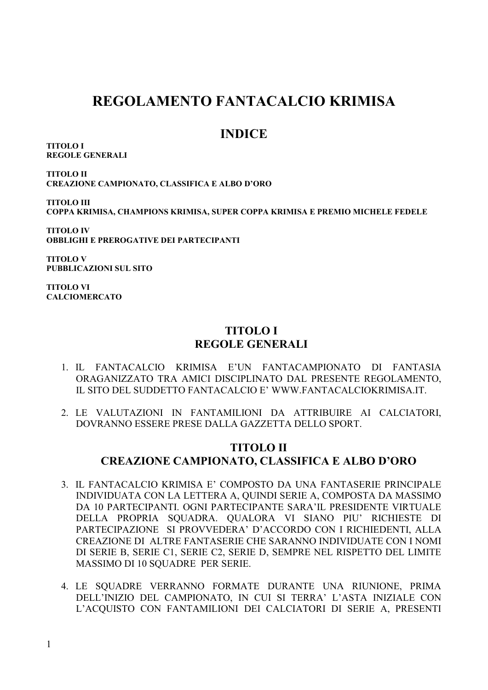# **REGOLAMENTO FANTACALCIO KRIMISA**

## **INDICE**

**TITOLO I REGOLE GENERALI**

**TITOLO II CREAZIONE CAMPIONATO, CLASSIFICA E ALBO D'ORO**

**TITOLO III COPPA KRIMISA, CHAMPIONS KRIMISA, SUPER COPPA KRIMISA E PREMIO MICHELE FEDELE**

**TITOLO IV OBBLIGHI E PREROGATIVE DEI PARTECIPANTI**

**TITOLO V PUBBLICAZIONI SUL SITO**

**TITOLO VI CALCIOMERCATO**

### **TITOLO I REGOLE GENERALI**

- 1. IL FANTACALCIO KRIMISA E'UN FANTACAMPIONATO DI FANTASIA ORAGANIZZATO TRA AMICI DISCIPLINATO DAL PRESENTE REGOLAMENTO, IL SITO DEL SUDDETTO FANTACALCIO E' WWW.FANTACALCIOKRIMISA.IT.
- 2. LE VALUTAZIONI IN FANTAMILIONI DA ATTRIBUIRE AI CALCIATORI, DOVRANNO ESSERE PRESE DALLA GAZZETTA DELLO SPORT.

### **TITOLO II CREAZIONE CAMPIONATO, CLASSIFICA E ALBO D'ORO**

- 3. IL FANTACALCIO KRIMISA E' COMPOSTO DA UNA FANTASERIE PRINCIPALE INDIVIDUATA CON LA LETTERA A, QUINDI SERIE A, COMPOSTA DA MASSIMO DA 10 PARTECIPANTI. OGNI PARTECIPANTE SARA'IL PRESIDENTE VIRTUALE DELLA PROPRIA SQUADRA. QUALORA VI SIANO PIU' RICHIESTE DI PARTECIPAZIONE SI PROVVEDERA' D'ACCORDO CON I RICHIEDENTI, ALLA CREAZIONE DI ALTRE FANTASERIE CHE SARANNO INDIVIDUATE CON I NOMI DI SERIE B, SERIE C1, SERIE C2, SERIE D, SEMPRE NEL RISPETTO DEL LIMITE MASSIMO DI 10 SQUADRE PER SERIE.
- 4. LE SQUADRE VERRANNO FORMATE DURANTE UNA RIUNIONE, PRIMA DELL'INIZIO DEL CAMPIONATO, IN CUI SI TERRA' L'ASTA INIZIALE CON L'ACQUISTO CON FANTAMILIONI DEI CALCIATORI DI SERIE A, PRESENTI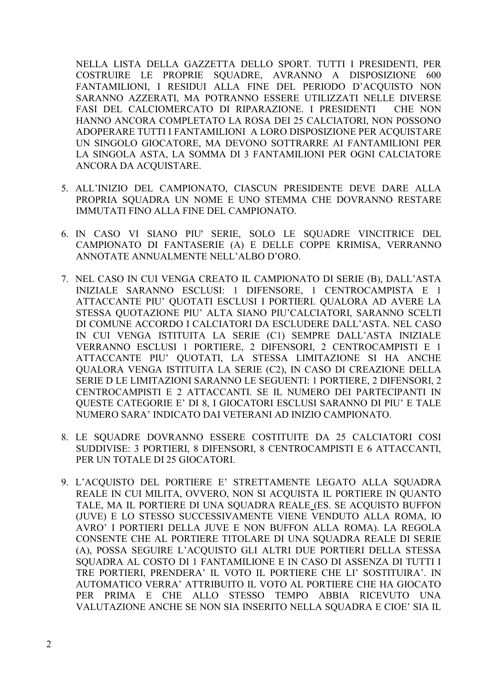NELLA LISTA DELLA GAZZETTA DELLO SPORT. TUTTI I PRESIDENTI, PER COSTRUIRE LE PROPRIE SOUADRE, AVRANNO A DISPOSIZIONE 600 FANTAMILIONI, I RESIDUI ALLA FINE DEL PERIODO D'ACOUISTO NON SARANNO AZZERATI, MA POTRANNO ESSERE UTILIZZATI NELLE DIVERSE FASI DEL CALCIOMERCATO DI RIPARAZIONE. I PRESIDENTI CHE NON HANNO ANCORA COMPLETATO LA ROSA DEI 25 CALCIATORI, NON POSSONO ADOPERARE TUTTI I FANTAMILIONI A LORO DISPOSIZIONE PER ACQUISTARE UN SINGOLO GIOCATORE, MA DEVONO SOTTRARRE AI FANTAMILIONI PER LA SINGOLA ASTA, LA SOMMA DI 3 FANTAMILIONI PER OGNI CALCIATORE ANCORA DA ACQUISTARE.

- 5. ALL'INIZIO DEL CAMPIONATO, CIASCUN PRESIDENTE DEVE DARE ALLA PROPRIA SOUADRA UN NOME E UNO STEMMA CHE DOVRANNO RESTARE IMMUTATI FINO ALLA FINE DEL CAMPIONATO.
- 6. IN CASO VI SIANO PIU' SERIE, SOLO LE SQUADRE VINCITRICE DEL CAMPIONATO DI FANTASERIE (A) E DELLE COPPE KRIMISA, VERRANNO ANNOTATE ANNUALMENTE NELL'ALBO D'ORO.
- 7. NEL CASO IN CUI VENGA CREATO IL CAMPIONATO DI SERIE (B), DALL'ASTA INIZIALE SARANNO ESCLUSI: 1 DIFENSORE, 1 CENTROCAMPISTA E 1 ATTACCANTE PIU' QUOTATI ESCLUSI I PORTIERI. QUALORA AD AVERE LA STESSA QUOTAZIONE PIU' ALTA SIANO PIU'CALCIATORI, SARANNO SCELTI DI COMUNE ACCORDO I CALCIATORI DA ESCLUDERE DALL'ASTA. NEL CASO IN CUI VENGA ISTITUITA LA SERIE (C1) SEMPRE DALL'ASTA INIZIALE VERRANNO ESCLUSI 1 PORTIERE, 2 DIFENSORI, 2 CENTROCAMPISTI E 1 ATTACCANTE PIU' QUOTATI, LA STESSA LIMITAZIONE SI HA ANCHE QUALORA VENGA ISTITUITA LA SERIE (C2), IN CASO DI CREAZIONE DELLA SERIE D LE LIMITAZIONI SARANNO LE SEGUENTI: 1 PORTIERE, 2 DIFENSORI, 2 CENTROCAMPISTI E 2 ATTACCANTI. SE IL NUMERO DEI PARTECIPANTI IN OUESTE CATEGORIE E' DI 8, I GIOCATORI ESCLUSI SARANNO DI PIU' E TALE NUMERO SARA' INDICATO DAI VETERANI AD INIZIO CAMPIONATO.
- 8. LE SOUADRE DOVRANNO ESSERE COSTITUITE DA 25 CALCIATORI COSI SUDDIVISE: 3 PORTIERI, 8 DIFENSORI, 8 CENTROCAMPISTI E 6 ATTACCANTI. PER UN TOTALE DI 25 GIOCATORI.
- 9. L'ACQUISTO DEL PORTIERE E' STRETTAMENTE LEGATO ALLA SQUADRA REALE IN CUI MILITA, OVVERO, NON SI ACQUISTA IL PORTIERE IN QUANTO TALE, MA IL PORTIERE DI UNA SQUADRA REALE (ES. SE ACQUISTO BUFFON (JUVE) E LO STESSO SUCCESSIVAMENTE VIENE VENDUTO ALLA ROMA, IO AVRO' I PORTIERI DELLA JUVE E NON BUFFON ALLA ROMA). LA REGOLA CONSENTE CHE AL PORTIERE TITOLARE DI UNA SQUADRA REALE DI SERIE (A), POSSA SEGUIRE L'ACQUISTO GLI ALTRI DUE PORTIERI DELLA STESSA SOUADRA AL COSTO DI 1 FANTAMILIONE E IN CASO DI ASSENZA DI TUTTI I TRE PORTIERI, PRENDERA' IL VOTO IL PORTIERE CHE LI' SOSTITUIRA'. IN AUTOMATICO VERRA' ATTRIBUITO IL VOTO AL PORTIERE CHE HA GIOCATO PER PRIMA E CHE ALLO STESSO TEMPO ABBIA RICEVUTO UNA VALUTAZIONE ANCHE SE NON SIA INSERITO NELLA SOUADRA E CIOE' SIA IL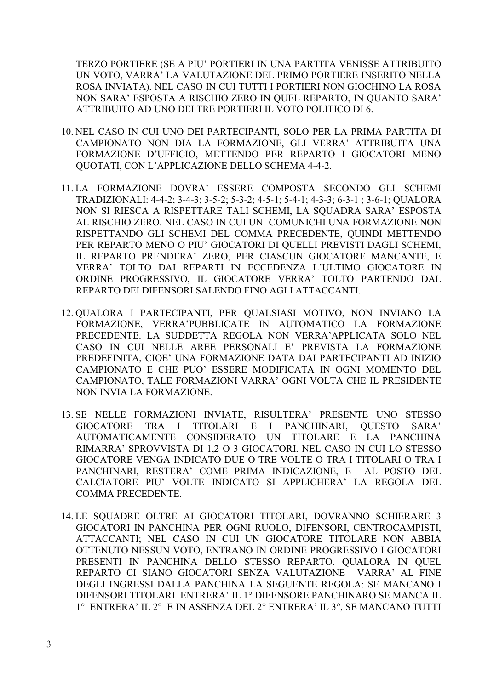TERZO PORTIERE (SE A PIU' PORTIERI IN UNA PARTITA VENISSE ATTRIBUITO UN VOTO, VARRA' LA VALUTAZIONE DEL PRIMO PORTIERE INSERITO NELLA ROSA INVIATA). NEL CASO IN CUI TUTTI I PORTIERI NON GIOCHINO LA ROSA NON SARA' ESPOSTA A RISCHIO ZERO IN QUEL REPARTO, IN QUANTO SARA' ATTRIBUITO AD UNO DEI TRE PORTIERI IL VOTO POLITICO DI 6.

- 10. NEL CASO IN CUI UNO DEI PARTECIPANTI, SOLO PER LA PRIMA PARTITA DI CAMPIONATO NON DIA LA FORMAZIONE, GLI VERRA' ATTRIBUITA UNA FORMAZIONE D'UFFICIO, METTENDO PER REPARTO I GIOCATORI MENO QUOTATI, CON L'APPLICAZIONE DELLO SCHEMA 4-4-2.
- 11. LA FORMAZIONE DOVRA' ESSERE COMPOSTA SECONDO GLI SCHEMI TRADIZIONALI: 4-4-2; 3-4-3; 3-5-2; 5-3-2; 4-5-1; 5-4-1; 4-3-3; 6-3-1 ; 3-6-1; QUALORA NON SI RIESCA A RISPETTARE TALI SCHEMI, LA SQUADRA SARA' ESPOSTA AL RISCHIO ZERO. NEL CASO IN CUI UN COMUNICHI UNA FORMAZIONE NON RISPETTANDO GLI SCHEMI DEL COMMA PRECEDENTE, QUINDI METTENDO PER REPARTO MENO O PIU' GIOCATORI DI QUELLI PREVISTI DAGLI SCHEMI, IL REPARTO PRENDERA' ZERO, PER CIASCUN GIOCATORE MANCANTE, E VERRA' TOLTO DAI REPARTI IN ECCEDENZA L'ULTIMO GIOCATORE IN ORDINE PROGRESSIVO, IL GIOCATORE VERRA' TOLTO PARTENDO DAL REPARTO DEI DIFENSORI SALENDO FINO AGLI ATTACCANTI.
- 12. QUALORA I PARTECIPANTI, PER QUALSIASI MOTIVO, NON INVIANO LA FORMAZIONE, VERRA'PUBBLICATE IN AUTOMATICO LA FORMAZIONE PRECEDENTE. LA SUDDETTA REGOLA NON VERRA'APPLICATA SOLO NEL CASO IN CUI NELLE AREE PERSONALI E' PREVISTA LA FORMAZIONE PREDEFINITA, CIOE' UNA FORMAZIONE DATA DAI PARTECIPANTI AD INIZIO CAMPIONATO E CHE PUO' ESSERE MODIFICATA IN OGNI MOMENTO DEL CAMPIONATO, TALE FORMAZIONI VARRA' OGNI VOLTA CHE IL PRESIDENTE NON INVIA LA FORMAZIONE.
- 13. SE NELLE FORMAZIONI INVIATE, RISULTERA' PRESENTE UNO STESSO GIOCATORE TRA I TITOLARI E I PANCHINARI, QUESTO SARA' AUTOMATICAMENTE CONSIDERATO UN TITOLARE E LA PANCHINA RIMARRA' SPROVVISTA DI 1,2 O 3 GIOCATORI. NEL CASO IN CUI LO STESSO GIOCATORE VENGA INDICATO DUE O TRE VOLTE O TRA I TITOLARI O TRA I PANCHINARI, RESTERA' COME PRIMA INDICAZIONE, E AL POSTO DEL CALCIATORE PIU' VOLTE INDICATO SI APPLICHERA' LA REGOLA DEL COMMA PRECEDENTE.
- 14. LE SQUADRE OLTRE AI GIOCATORI TITOLARI, DOVRANNO SCHIERARE 3 GIOCATORI IN PANCHINA PER OGNI RUOLO, DIFENSORI, CENTROCAMPISTI, ATTACCANTI; NEL CASO IN CUI UN GIOCATORE TITOLARE NON ABBIA OTTENUTO NESSUN VOTO, ENTRANO IN ORDINE PROGRESSIVO I GIOCATORI PRESENTI IN PANCHINA DELLO STESSO REPARTO. QUALORA IN QUEL REPARTO CI SIANO GIOCATORI SENZA VALUTAZIONE VARRA' AL FINE DEGLI INGRESSI DALLA PANCHINA LA SEGUENTE REGOLA: SE MANCANO I DIFENSORI TITOLARI ENTRERA' IL 1° DIFENSORE PANCHINARO SE MANCA IL 1° ENTRERA' IL 2° E IN ASSENZA DEL 2° ENTRERA' IL 3°, SE MANCANO TUTTI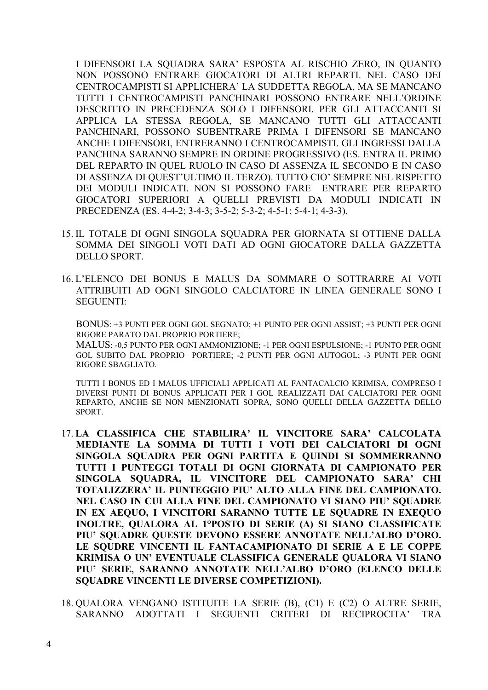I DIFENSORI LA SQUADRA SARA' ESPOSTA AL RISCHIO ZERO, IN QUANTO NON POSSONO ENTRARE GIOCATORI DI ALTRI REPARTI. NEL CASO DEI CENTROCAMPISTI SI APPLICHERA' LA SUDDETTA REGOLA, MA SE MANCANO TUTTI I CENTROCAMPISTI PANCHINARI POSSONO ENTRARE NELL'ORDINE DESCRITTO IN PRECEDENZA SOLO I DIFENSORI. PER GLI ATTACCANTI SI APPLICA LA STESSA REGOLA, SE MANCANO TUTTI GLI ATTACCANTI PANCHINARI, POSSONO SUBENTRARE PRIMA I DIFENSORI SE MANCANO ANCHE I DIFENSORI, ENTRERANNO I CENTROCAMPISTI. GLI INGRESSI DALLA PANCHINA SARANNO SEMPRE IN ORDINE PROGRESSIVO (ES. ENTRA IL PRIMO DEL REPARTO IN QUEL RUOLO IN CASO DI ASSENZA IL SECONDO E IN CASO DI ASSENZA DI QUEST'ULTIMO IL TERZO). TUTTO CIO' SEMPRE NEL RISPETTO DEI MODULI INDICATI. NON SI POSSONO FARE ENTRARE PER REPARTO GIOCATORI SUPERIORI A QUELLI PREVISTI DA MODULI INDICATI IN PRECEDENZA (ES. 4-4-2; 3-4-3; 3-5-2; 5-3-2; 4-5-1; 5-4-1; 4-3-3).

- 15. IL TOTALE DI OGNI SINGOLA SQUADRA PER GIORNATA SI OTTIENE DALLA SOMMA DEI SINGOLI VOTI DATI AD OGNI GIOCATORE DALLA GAZZETTA DELLO SPORT.
- 16. L'ELENCO DEI BONUS E MALUS DA SOMMARE O SOTTRARRE AI VOTI ATTRIBUITI AD OGNI SINGOLO CALCIATORE IN LINEA GENERALE SONO I SEGUENTI:

BONUS: +3 PUNTI PER OGNI GOL SEGNATO; +1 PUNTO PER OGNI ASSIST; +3 PUNTI PER OGNI RIGORE PARATO DAL PROPRIO PORTIERE;

MALUS: -0,5 PUNTO PER OGNI AMMONIZIONE; -1 PER OGNI ESPULSIONE; -1 PUNTO PER OGNI GOL SUBITO DAL PROPRIO PORTIERE; -2 PUNTI PER OGNI AUTOGOL; -3 PUNTI PER OGNI RIGORE SBAGLIATO.

TUTTI I BONUS ED I MALUS UFFICIALI APPLICATI AL FANTACALCIO KRIMISA, COMPRESO I DIVERSI PUNTI DI BONUS APPLICATI PER I GOL REALIZZATI DAI CALCIATORI PER OGNI REPARTO, ANCHE SE NON MENZIONATI SOPRA, SONO QUELLI DELLA GAZZETTA DELLO SPORT.

- 17. **LA CLASSIFICA CHE STABILIRA' IL VINCITORE SARA' CALCOLATA MEDIANTE LA SOMMA DI TUTTI I VOTI DEI CALCIATORI DI OGNI SINGOLA SQUADRA PER OGNI PARTITA E QUINDI SI SOMMERRANNO TUTTI I PUNTEGGI TOTALI DI OGNI GIORNATA DI CAMPIONATO PER SINGOLA SQUADRA, IL VINCITORE DEL CAMPIONATO SARA' CHI TOTALIZZERA' IL PUNTEGGIO PIU' ALTO ALLA FINE DEL CAMPIONATO. NEL CASO IN CUI ALLA FINE DEL CAMPIONATO VI SIANO PIU' SQUADRE IN EX AEQUO, I VINCITORI SARANNO TUTTE LE SQUADRE IN EXEQUO INOLTRE, QUALORA AL 1°POSTO DI SERIE (A) SI SIANO CLASSIFICATE PIU' SQUADRE QUESTE DEVONO ESSERE ANNOTATE NELL'ALBO D'ORO. LE SQUDRE VINCENTI IL FANTACAMPIONATO DI SERIE A E LE COPPE KRIMISA O UN' EVENTUALE CLASSIFICA GENERALE QUALORA VI SIANO PIU' SERIE, SARANNO ANNOTATE NELL'ALBO D'ORO (ELENCO DELLE SQUADRE VINCENTI LE DIVERSE COMPETIZIONI).**
- 18. QUALORA VENGANO ISTITUITE LA SERIE (B), (C1) E (C2) O ALTRE SERIE, SARANNO ADOTTATI I SEGUENTI CRITERI DI RECIPROCITA' TRA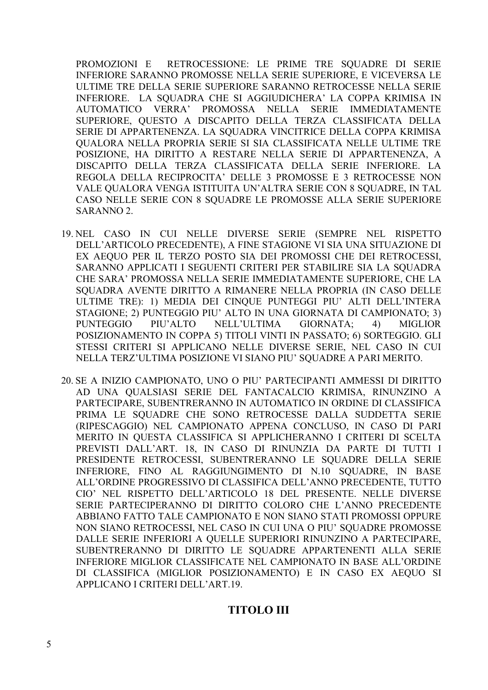PROMOZIONI E RETROCESSIONE: LE PRIME TRE SQUADRE DI SERIE INFERIORE SARANNO PROMOSSE NELLA SERIE SUPERIORE, E VICEVERSA LE ULTIME TRE DELLA SERIE SUPERIORE SARANNO RETROCESSE NELLA SERIE INFERIORE. LA SQUADRA CHE SI AGGIUDICHERA' LA COPPA KRIMISA IN AUTOMATICO VERRA' PROMOSSA NELLA SERIE IMMEDIATAMENTE SUPERIORE, QUESTO A DISCAPITO DELLA TERZA CLASSIFICATA DELLA SERIE DI APPARTENENZA. LA SQUADRA VINCITRICE DELLA COPPA KRIMISA QUALORA NELLA PROPRIA SERIE SI SIA CLASSIFICATA NELLE ULTIME TRE POSIZIONE, HA DIRITTO A RESTARE NELLA SERIE DI APPARTENENZA, A DISCAPITO DELLA TERZA CLASSIFICATA DELLA SERIE INFERIORE. LA REGOLA DELLA RECIPROCITA' DELLE 3 PROMOSSE E 3 RETROCESSE NON VALE QUALORA VENGA ISTITUITA UN'ALTRA SERIE CON 8 SQUADRE, IN TAL CASO NELLE SERIE CON 8 SQUADRE LE PROMOSSE ALLA SERIE SUPERIORE SARANNO 2.

- 19. NEL CASO IN CUI NELLE DIVERSE SERIE (SEMPRE NEL RISPETTO DELL'ARTICOLO PRECEDENTE), A FINE STAGIONE VI SIA UNA SITUAZIONE DI EX AEQUO PER IL TERZO POSTO SIA DEI PROMOSSI CHE DEI RETROCESSI, SARANNO APPLICATI I SEGUENTI CRITERI PER STABILIRE SIA LA SQUADRA CHE SARA' PROMOSSA NELLA SERIE IMMEDIATAMENTE SUPERIORE, CHE LA SQUADRA AVENTE DIRITTO A RIMANERE NELLA PROPRIA (IN CASO DELLE ULTIME TRE): 1) MEDIA DEI CINQUE PUNTEGGI PIU' ALTI DELL'INTERA STAGIONE; 2) PUNTEGGIO PIU' ALTO IN UNA GIORNATA DI CAMPIONATO; 3) PUNTEGGIO PIU'ALTO NELL'ULTIMA GIORNATA; 4) MIGLIOR POSIZIONAMENTO IN COPPA 5) TITOLI VINTI IN PASSATO; 6) SORTEGGIO. GLI STESSI CRITERI SI APPLICANO NELLE DIVERSE SERIE, NEL CASO IN CUI NELLA TERZ'ULTIMA POSIZIONE VI SIANO PIU' SQUADRE A PARI MERITO.
- 20. SE A INIZIO CAMPIONATO, UNO O PIU' PARTECIPANTI AMMESSI DI DIRITTO AD UNA QUALSIASI SERIE DEL FANTACALCIO KRIMISA, RINUNZINO A PARTECIPARE, SUBENTRERANNO IN AUTOMATICO IN ORDINE DI CLASSIFICA PRIMA LE SQUADRE CHE SONO RETROCESSE DALLA SUDDETTA SERIE (RIPESCAGGIO) NEL CAMPIONATO APPENA CONCLUSO, IN CASO DI PARI MERITO IN QUESTA CLASSIFICA SI APPLICHERANNO I CRITERI DI SCELTA PREVISTI DALL'ART. 18, IN CASO DI RINUNZIA DA PARTE DI TUTTI I PRESIDENTE RETROCESSI, SUBENTRERANNO LE SQUADRE DELLA SERIE INFERIORE, FINO AL RAGGIUNGIMENTO DI N.10 SQUADRE, IN BASE ALL'ORDINE PROGRESSIVO DI CLASSIFICA DELL'ANNO PRECEDENTE, TUTTO CIO' NEL RISPETTO DELL'ARTICOLO 18 DEL PRESENTE. NELLE DIVERSE SERIE PARTECIPERANNO DI DIRITTO COLORO CHE L'ANNO PRECEDENTE ABBIANO FATTO TALE CAMPIONATO E NON SIANO STATI PROMOSSI OPPURE NON SIANO RETROCESSI, NEL CASO IN CUI UNA O PIU' SQUADRE PROMOSSE DALLE SERIE INFERIORI A QUELLE SUPERIORI RINUNZINO A PARTECIPARE, SUBENTRERANNO DI DIRITTO LE SQUADRE APPARTENENTI ALLA SERIE INFERIORE MIGLIOR CLASSIFICATE NEL CAMPIONATO IN BASE ALL'ORDINE DI CLASSIFICA (MIGLIOR POSIZIONAMENTO) E IN CASO EX AEQUO SI APPLICANO I CRITERI DELL'ART.19.

### **TITOLO III**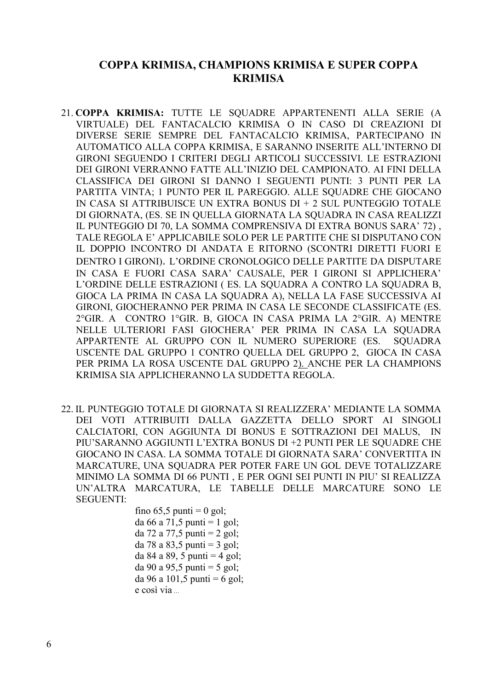### **COPPA KRIMISA, CHAMPIONS KRIMISA E SUPER COPPA KRIMISA**

- 21. **COPPA KRIMISA:** TUTTE LE SQUADRE APPARTENENTI ALLA SERIE (A VIRTUALE) DEL FANTACALCIO KRIMISA O IN CASO DI CREAZIONI DI DIVERSE SERIE SEMPRE DEL FANTACALCIO KRIMISA, PARTECIPANO IN AUTOMATICO ALLA COPPA KRIMISA, E SARANNO INSERITE ALL'INTERNO DI GIRONI SEGUENDO I CRITERI DEGLI ARTICOLI SUCCESSIVI. LE ESTRAZIONI DEI GIRONI VERRANNO FATTE ALL'INIZIO DEL CAMPIONATO. AI FINI DELLA CLASSIFICA DEI GIRONI SI DANNO I SEGUENTI PUNTI: 3 PUNTI PER LA PARTITA VINTA; 1 PUNTO PER IL PAREGGIO. ALLE SQUADRE CHE GIOCANO IN CASA SI ATTRIBUISCE UN EXTRA BONUS DI + 2 SUL PUNTEGGIO TOTALE DI GIORNATA, (ES. SE IN QUELLA GIORNATA LA SQUADRA IN CASA REALIZZI IL PUNTEGGIO DI 70, LA SOMMA COMPRENSIVA DI EXTRA BONUS SARA' 72) , TALE REGOLA E' APPLICABILE SOLO PER LE PARTITE CHE SI DISPUTANO CON IL DOPPIO INCONTRO DI ANDATA E RITORNO (SCONTRI DIRETTI FUORI E DENTRO I GIRONI). L'ORDINE CRONOLOGICO DELLE PARTITE DA DISPUTARE IN CASA E FUORI CASA SARA' CAUSALE, PER I GIRONI SI APPLICHERA' L'ORDINE DELLE ESTRAZIONI ( ES. LA SQUADRA A CONTRO LA SQUADRA B, GIOCA LA PRIMA IN CASA LA SQUADRA A), NELLA LA FASE SUCCESSIVA AI GIRONI, GIOCHERANNO PER PRIMA IN CASA LE SECONDE CLASSIFICATE (ES. 2°GIR. A CONTRO 1°GIR. B, GIOCA IN CASA PRIMA LA 2°GIR. A) MENTRE NELLE ULTERIORI FASI GIOCHERA' PER PRIMA IN CASA LA SQUADRA APPARTENTE AL GRUPPO CON IL NUMERO SUPERIORE (ES. SQUADRA USCENTE DAL GRUPPO 1 CONTRO QUELLA DEL GRUPPO 2, GIOCA IN CASA PER PRIMA LA ROSA USCENTE DAL GRUPPO 2). ANCHE PER LA CHAMPIONS KRIMISA SIA APPLICHERANNO LA SUDDETTA REGOLA.
- 22. IL PUNTEGGIO TOTALE DI GIORNATA SI REALIZZERA' MEDIANTE LA SOMMA DEI VOTI ATTRIBUITI DALLA GAZZETTA DELLO SPORT AI SINGOLI CALCIATORI, CON AGGIUNTA DI BONUS E SOTTRAZIONI DEI MALUS, IN PIU'SARANNO AGGIUNTI L'EXTRA BONUS DI +2 PUNTI PER LE SQUADRE CHE GIOCANO IN CASA. LA SOMMA TOTALE DI GIORNATA SARA' CONVERTITA IN MARCATURE, UNA SQUADRA PER POTER FARE UN GOL DEVE TOTALIZZARE MINIMO LA SOMMA DI 66 PUNTI , E PER OGNI SEI PUNTI IN PIU' SI REALIZZA UN'ALTRA MARCATURA, LE TABELLE DELLE MARCATURE SONO LE SEGUENTI:

fino  $65,5$  punti = 0 gol; da 66 a 71,5 punti = 1 gol; da 72 a 77,5 punti = 2 gol; da 78 a 83,5 punti = 3 gol; da 84 a 89, 5 punti  $=$  4 gol; da 90 a 95,5 punti = 5 gol; da 96 a 101,5 punti = 6 gol; e così via …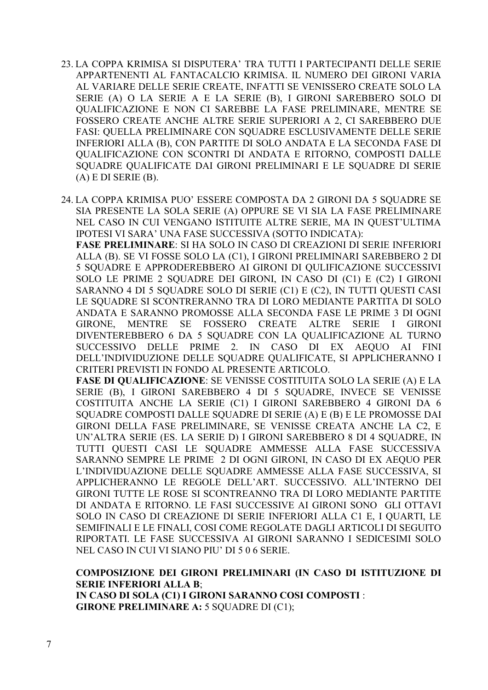- 23. LA COPPA KRIMISA SI DISPUTERA' TRA TUTTI I PARTECIPANTI DELLE SERIE APPARTENENTI AL FANTACALCIO KRIMISA. IL NUMERO DEI GIRONI VARIA AL VARIARE DELLE SERIE CREATE, INFATTI SE VENISSERO CREATE SOLO LA SERIE (A) O LA SERIE A E LA SERIE (B), I GIRONI SAREBBERO SOLO DI QUALIFICAZIONE E NON CI SAREBBE LA FASE PRELIMINARE, MENTRE SE FOSSERO CREATE ANCHE ALTRE SERIE SUPERIORI A 2, CI SAREBBERO DUE FASI: QUELLA PRELIMINARE CON SQUADRE ESCLUSIVAMENTE DELLE SERIE INFERIORI ALLA (B), CON PARTITE DI SOLO ANDATA E LA SECONDA FASE DI QUALIFICAZIONE CON SCONTRI DI ANDATA E RITORNO, COMPOSTI DALLE SQUADRE QUALIFICATE DAI GIRONI PRELIMINARI E LE SQUADRE DI SERIE  $(A)$  E DI SERIE  $(B)$ .
- 24. LA COPPA KRIMISA PUO' ESSERE COMPOSTA DA 2 GIRONI DA 5 SQUADRE SE SIA PRESENTE LA SOLA SERIE (A) OPPURE SE VI SIA LA FASE PRELIMINARE NEL CASO IN CUI VENGANO ISTITUITE ALTRE SERIE, MA IN QUEST'ULTIMA IPOTESI VI SARA' UNA FASE SUCCESSIVA (SOTTO INDICATA):

**FASE PRELIMINARE**: SI HA SOLO IN CASO DI CREAZIONI DI SERIE INFERIORI ALLA (B). SE VI FOSSE SOLO LA (C1), I GIRONI PRELIMINARI SAREBBERO 2 DI 5 SQUADRE E APPRODEREBBERO AI GIRONI DI QULIFICAZIONE SUCCESSIVI SOLO LE PRIME 2 SQUADRE DEI GIRONI, IN CASO DI (C1) E (C2) I GIRONI SARANNO 4 DI 5 SQUADRE SOLO DI SERIE (C1) E (C2), IN TUTTI QUESTI CASI LE SQUADRE SI SCONTRERANNO TRA DI LORO MEDIANTE PARTITA DI SOLO ANDATA E SARANNO PROMOSSE ALLA SECONDA FASE LE PRIME 3 DI OGNI GIRONE, MENTRE SE FOSSERO CREATE ALTRE SERIE I GIRONI DIVENTEREBBERO 6 DA 5 SQUADRE CON LA QUALIFICAZIONE AL TURNO SUCCESSIVO DELLE PRIME 2. IN CASO DI EX AEQUO AI FINI DELL'INDIVIDUZIONE DELLE SQUADRE QUALIFICATE, SI APPLICHERANNO I CRITERI PREVISTI IN FONDO AL PRESENTE ARTICOLO.

**FASE DI QUALIFICAZIONE**: SE VENISSE COSTITUITA SOLO LA SERIE (A) E LA SERIE (B), I GIRONI SAREBBERO 4 DI 5 SOUADRE, INVECE SE VENISSE COSTITUITA ANCHE LA SERIE (C1) I GIRONI SAREBBERO 4 GIRONI DA 6 SQUADRE COMPOSTI DALLE SQUADRE DI SERIE (A) E (B) E LE PROMOSSE DAI GIRONI DELLA FASE PRELIMINARE, SE VENISSE CREATA ANCHE LA C2, E UN'ALTRA SERIE (ES. LA SERIE D) I GIRONI SAREBBERO 8 DI 4 SQUADRE, IN TUTTI QUESTI CASI LE SQUADRE AMMESSE ALLA FASE SUCCESSIVA SARANNO SEMPRE LE PRIME 2 DI OGNI GIRONI, IN CASO DI EX AEQUO PER L'INDIVIDUAZIONE DELLE SQUADRE AMMESSE ALLA FASE SUCCESSIVA, SI APPLICHERANNO LE REGOLE DELL'ART. SUCCESSIVO. ALL'INTERNO DEI GIRONI TUTTE LE ROSE SI SCONTREANNO TRA DI LORO MEDIANTE PARTITE DI ANDATA E RITORNO. LE FASI SUCCESSIVE AI GIRONI SONO GLI OTTAVI SOLO IN CASO DI CREAZIONE DI SERIE INFERIORI ALLA C1 E, I QUARTI, LE SEMIFINALI E LE FINALI, COSI COME REGOLATE DAGLI ARTICOLI DI SEGUITO RIPORTATI. LE FASE SUCCESSIVA AI GIRONI SARANNO I SEDICESIMI SOLO NEL CASO IN CUI VI SIANO PIU' DI 5 0 6 SERIE.

**COMPOSIZIONE DEI GIRONI PRELIMINARI (IN CASO DI ISTITUZIONE DI SERIE INFERIORI ALLA B**; **IN CASO DI SOLA (C1) I GIRONI SARANNO COSI COMPOSTI** : **GIRONE PRELIMINARE A: 5 SOUADRE DI (C1);**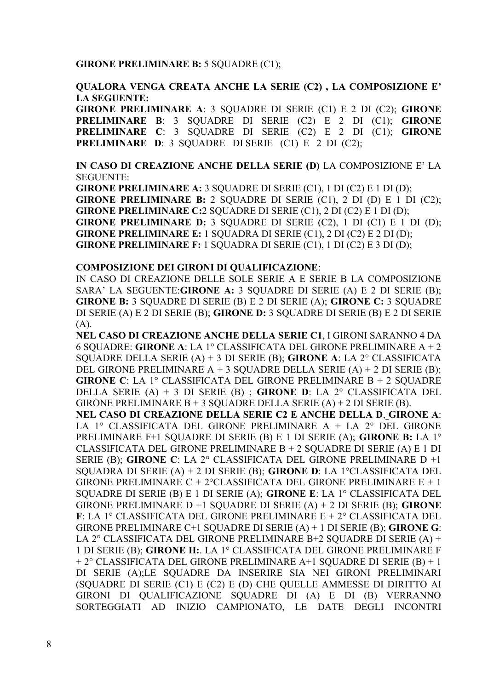#### **GIRONE PRELIMINARE B:** 5 SQUADRE (C1);

#### **QUALORA VENGA CREATA ANCHE LA SERIE (C2) , LA COMPOSIZIONE E' LA SEGUENTE:**

**GIRONE PRELIMINARE A**: 3 SQUADRE DI SERIE (C1) E 2 DI (C2); **GIRONE PRELIMINARE B**: 3 SQUADRE DI SERIE (C2) E 2 DI (C1); **GIRONE PRELIMINARE C**: 3 SQUADRE DI SERIE (C2) E 2 DI (C1); **GIRONE PRELIMINARE D**: 3 SQUADRE DI SERIE (C1) E 2 DI (C2);

**IN CASO DI CREAZIONE ANCHE DELLA SERIE (D)** LA COMPOSIZIONE E' LA SEGUENTE:

**GIRONE PRELIMINARE A:** 3 SQUADRE DI SERIE (C1), 1 DI (C2) E 1 DI (D); **GIRONE PRELIMINARE B:** 2 SOUADRE DI SERIE  $(C1)$ , 2 DI  $(D)$  E 1 DI  $(C2)$ ; **GIRONE PRELIMINARE C:**2 SQUADRE DI SERIE (C1), 2 DI (C2) E 1 DI (D); **GIRONE PRELIMINARE D: 3 SOUADRE DI SERIE (C2), 1 DI (C1) E 1 DI (D); GIRONE PRELIMINARE E:** 1 SQUADRA DI SERIE (C1), 2 DI (C2) E 2 DI (D); **GIRONE PRELIMINARE F:** 1 SQUADRA DI SERIE (C1), 1 DI (C2) E 3 DI (D);

#### **COMPOSIZIONE DEI GIRONI DI QUALIFICAZIONE**:

IN CASO DI CREAZIONE DELLE SOLE SERIE A E SERIE B LA COMPOSIZIONE SARA' LA SEGUENTE:**GIRONE A:** 3 SQUADRE DI SERIE (A) E 2 DI SERIE (B); **GIRONE B:** 3 SQUADRE DI SERIE (B) E 2 DI SERIE (A); **GIRONE C:** 3 SQUADRE DI SERIE (A) E 2 DI SERIE (B); **GIRONE D:** 3 SQUADRE DI SERIE (B) E 2 DI SERIE  $(A)$ .

**NEL CASO DI CREAZIONE ANCHE DELLA SERIE C1**, I GIRONI SARANNO 4 DA 6 SQUADRE: **GIRONE A**: LA 1° CLASSIFICATA DEL GIRONE PRELIMINARE A + 2 SQUADRE DELLA SERIE (A) + 3 DI SERIE (B); **GIRONE A**: LA 2° CLASSIFICATA DEL GIRONE PRELIMINARE  $A + 3$  SQUADRE DELLA SERIE  $(A) + 2$  DI SERIE  $(B)$ ; **GIRONE C**: LA 1° CLASSIFICATA DEL GIRONE PRELIMINARE B + 2 SQUADRE DELLA SERIE (A) + 3 DI SERIE (B) ; **GIRONE D**: LA 2° CLASSIFICATA DEL GIRONE PRELIMINARE  $B + 3$  SOUADRE DELLA SERIE (A) + 2 DI SERIE (B).

**NEL CASO DI CREAZIONE DELLA SERIE C2 E ANCHE DELLA D**, **GIRONE A**: LA 1° CLASSIFICATA DEL GIRONE PRELIMINARE A + LA 2° DEL GIRONE PRELIMINARE F+1 SQUADRE DI SERIE (B) E 1 DI SERIE (A); **GIRONE B:** LA 1° CLASSIFICATA DEL GIRONE PRELIMINARE B + 2 SQUADRE DI SERIE (A) E 1 DI SERIE (B); **GIRONE C**: LA 2° CLASSIFICATA DEL GIRONE PRELIMINARE D +1 SQUADRA DI SERIE (A) + 2 DI SERIE (B); **GIRONE D**: LA 1°CLASSIFICATA DEL GIRONE PRELIMINARE C + 2°CLASSIFICATA DEL GIRONE PRELIMINARE  $E + 1$ SQUADRE DI SERIE (B) E 1 DI SERIE (A); **GIRONE E**: LA 1° CLASSIFICATA DEL GIRONE PRELIMINARE D +1 SQUADRE DI SERIE (A) + 2 DI SERIE (B); **GIRONE F**: LA 1° CLASSIFICATA DEL GIRONE PRELIMINARE E + 2° CLASSIFICATA DEL GIRONE PRELIMINARE C+1 SQUADRE DI SERIE (A) + 1 DI SERIE (B); **GIRONE G**: LA 2° CLASSIFICATA DEL GIRONE PRELIMINARE B+2 SQUADRE DI SERIE (A) + 1 DI SERIE (B); **GIRONE H:**. LA 1° CLASSIFICATA DEL GIRONE PRELIMINARE F  $+ 2^{\circ}$  CLASSIFICATA DEL GIRONE PRELIMINARE A+1 SOUADRE DI SERIE (B) + 1 DI SERIE (A);LE SQUADRE DA INSERIRE SIA NEI GIRONI PRELIMINARI (SQUADRE DI SERIE (C1) E (C2) E (D) CHE QUELLE AMMESSE DI DIRITTO AI GIRONI DI QUALIFICAZIONE SQUADRE DI (A) E DI (B) VERRANNO SORTEGGIATI AD INIZIO CAMPIONATO, LE DATE DEGLI INCONTRI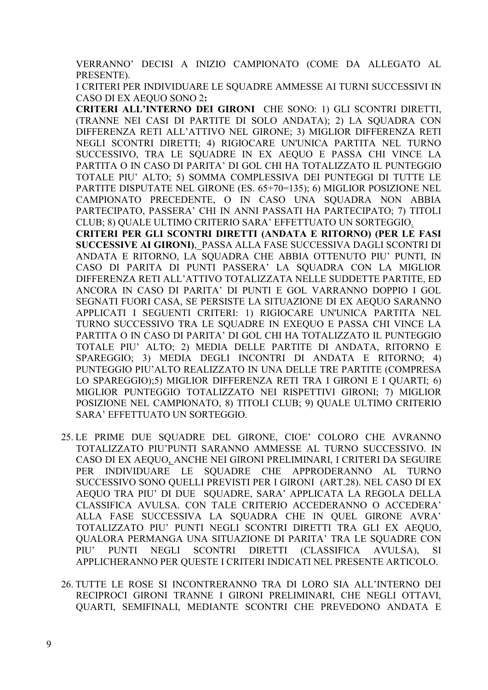VERRANNO' DECISI A INIZIO CAMPIONATO (COME DA ALLEGATO AL PRESENTE).

I CRITERI PER INDIVIDUARE LE SOUADRE AMMESSE AI TURNI SUCCESSIVI IN CASO DI EX AEQUO SONO 2**:**

**CRITERI ALL'INTERNO DEI GIRONI** CHE SONO: 1) GLI SCONTRI DIRETTI, (TRANNE NEI CASI DI PARTITE DI SOLO ANDATA); 2) LA SQUADRA CON DIFFERENZA RETI ALL'ATTIVO NEL GIRONE; 3) MIGLIOR DIFFERENZA RETI NEGLI SCONTRI DIRETTI; 4) RIGIOCARE UN'UNICA PARTITA NEL TURNO SUCCESSIVO, TRA LE SQUADRE IN EX AEQUO E PASSA CHI VINCE LA PARTITA O IN CASO DI PARITA' DI GOL CHI HA TOTALIZZATO IL PUNTEGGIO TOTALE PIU' ALTO; 5) SOMMA COMPLESSIVA DEI PUNTEGGI DI TUTTE LE PARTITE DISPUTATE NEL GIRONE (ES. 65+70=135); 6) MIGLIOR POSIZIONE NEL CAMPIONATO PRECEDENTE, O IN CASO UNA SQUADRA NON ABBIA PARTECIPATO, PASSERA' CHI IN ANNI PASSATI HA PARTECIPATO; 7) TITOLI CLUB; 8) QUALE ULTIMO CRITERIO SARA' EFFETTUATO UN SORTEGGIO*.*

**CRITERI PER GLI SCONTRI DIRETTI (ANDATA E RITORNO) (PER LE FASI SUCCESSIVE AI GIRONI)**, PASSA ALLA FASE SUCCESSIVA DAGLI SCONTRI DI ANDATA E RITORNO, LA SQUADRA CHE ABBIA OTTENUTO PIU' PUNTI, IN CASO DI PARITA DI PUNTI PASSERA' LA SQUADRA CON LA MIGLIOR DIFFERENZA RETI ALL'ATTIVO TOTALIZZATA NELLE SUDDETTE PARTITE, ED ANCORA IN CASO DI PARITA' DI PUNTI E GOL VARRANNO DOPPIO I GOL SEGNATI FUORI CASA, SE PERSISTE LA SITUAZIONE DI EX AEQUO SARANNO APPLICATI I SEGUENTI CRITERI: 1) RIGIOCARE UN'UNICA PARTITA NEL TURNO SUCCESSIVO TRA LE SQUADRE IN EXEQUO E PASSA CHI VINCE LA PARTITA O IN CASO DI PARITA' DI GOL CHI HA TOTALIZZATO IL PUNTEGGIO TOTALE PIU' ALTO; 2) MEDIA DELLE PARTITE DI ANDATA, RITORNO E SPAREGGIO; 3) MEDIA DEGLI INCONTRI DI ANDATA E RITORNO; 4) PUNTEGGIO PIU'ALTO REALIZZATO IN UNA DELLE TRE PARTITE (COMPRESA LO SPAREGGIO);5) MIGLIOR DIFFERENZA RETI TRA I GIRONI E I QUARTI; 6) MIGLIOR PUNTEGGIO TOTALIZZATO NEI RISPETTIVI GIRONI; 7) MIGLIOR POSIZIONE NEL CAMPIONATO, 8) TITOLI CLUB; 9) QUALE ULTIMO CRITERIO SARA' EFFETTUATO UN SORTEGGIO.

- 25. LE PRIME DUE SQUADRE DEL GIRONE, CIOE' COLORO CHE AVRANNO TOTALIZZATO PIU'PUNTI SARANNO AMMESSE AL TURNO SUCCESSIVO. IN CASO DI EX AEQUO, ANCHE NEI GIRONI PRELIMINARI, I CRITERI DA SEGUIRE PER INDIVIDUARE LE SQUADRE CHE APPRODERANNO AL TURNO SUCCESSIVO SONO QUELLI PREVISTI PER I GIRONI (ART.28). NEL CASO DI EX AEQUO TRA PIU' DI DUE SQUADRE, SARA' APPLICATA LA REGOLA DELLA CLASSIFICA AVULSA. CON TALE CRITERIO ACCEDERANNO O ACCEDERA' ALLA FASE SUCCESSIVA LA SQUADRA CHE IN QUEL GIRONE AVRA' TOTALIZZATO PIU' PUNTI NEGLI SCONTRI DIRETTI TRA GLI EX AEQUO, QUALORA PERMANGA UNA SITUAZIONE DI PARITA' TRA LE SQUADRE CON PIU' PUNTI NEGLI SCONTRI DIRETTI (CLASSIFICA AVULSA), SI APPLICHERANNO PER QUESTE I CRITERI INDICATI NEL PRESENTE ARTICOLO.
- 26. TUTTE LE ROSE SI INCONTRERANNO TRA DI LORO SIA ALL'INTERNO DEI RECIPROCI GIRONI TRANNE I GIRONI PRELIMINARI, CHE NEGLI OTTAVI, QUARTI, SEMIFINALI, MEDIANTE SCONTRI CHE PREVEDONO ANDATA E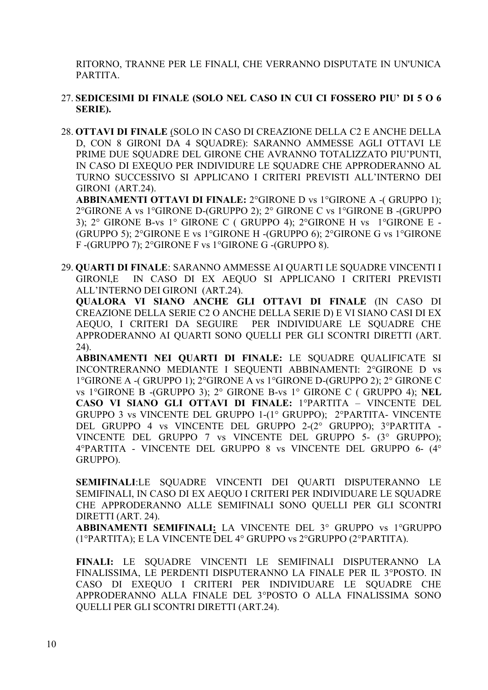RITORNO, TRANNE PER LE FINALI, CHE VERRANNO DISPUTATE IN UN'UNICA PARTITA.

- 27. **SEDICESIMI DI FINALE (SOLO NEL CASO IN CUI CI FOSSERO PIU' DI 5 O 6 SERIE).**
- 28. **OTTAVI DI FINALE** (SOLO IN CASO DI CREAZIONE DELLA C2 E ANCHE DELLA D, CON 8 GIRONI DA 4 SQUADRE): SARANNO AMMESSE AGLI OTTAVI LE PRIME DUE SQUADRE DEL GIRONE CHE AVRANNO TOTALIZZATO PIU'PUNTI, IN CASO DI EXEQUO PER INDIVIDURE LE SQUADRE CHE APPRODERANNO AL TURNO SUCCESSIVO SI APPLICANO I CRITERI PREVISTI ALL'INTERNO DEI GIRONI (ART.24).

**ABBINAMENTI OTTAVI DI FINALE:** 2°GIRONE D vs 1°GIRONE A -( GRUPPO 1); 2°GIRONE A vs 1°GIRONE D-(GRUPPO 2); 2° GIRONE C vs 1°GIRONE B -(GRUPPO 3); 2° GIRONE B-vs 1° GIRONE C ( GRUPPO 4); 2°GIRONE H vs 1°GIRONE E - (GRUPPO 5); 2°GIRONE E vs 1°GIRONE H -(GRUPPO 6); 2°GIRONE G vs 1°GIRONE F -(GRUPPO 7); 2°GIRONE F vs 1°GIRONE G -(GRUPPO 8).

29. **QUARTI DI FINALE**: SARANNO AMMESSE AI QUARTI LE SQUADRE VINCENTI I GIRONI,E IN CASO DI EX AEQUO SI APPLICANO I CRITERI PREVISTI ALL'INTERNO DEI GIRONI (ART.24).

**QUALORA VI SIANO ANCHE GLI OTTAVI DI FINALE** (IN CASO DI CREAZIONE DELLA SERIE C2 O ANCHE DELLA SERIE D) E VI SIANO CASI DI EX AEQUO, I CRITERI DA SEGUIRE PER INDIVIDUARE LE SQUADRE CHE APPRODERANNO AI QUARTI SONO QUELLI PER GLI SCONTRI DIRETTI (ART. 24).

**ABBINAMENTI NEI QUARTI DI FINALE:** LE SQUADRE QUALIFICATE SI INCONTRERANNO MEDIANTE I SEQUENTI ABBINAMENTI: 2°GIRONE D vs 1°GIRONE A -( GRUPPO 1); 2°GIRONE A vs 1°GIRONE D-(GRUPPO 2); 2° GIRONE C vs 1°GIRONE B -(GRUPPO 3); 2° GIRONE B-vs 1° GIRONE C ( GRUPPO 4); **NEL CASO VI SIANO GLI OTTAVI DI FINALE:** 1°PARTITA – VINCENTE DEL GRUPPO 3 vs VINCENTE DEL GRUPPO 1-(1° GRUPPO); 2°PARTITA- VINCENTE DEL GRUPPO 4 vs VINCENTE DEL GRUPPO 2-(2° GRUPPO); 3°PARTITA - VINCENTE DEL GRUPPO 7 vs VINCENTE DEL GRUPPO 5- (3° GRUPPO); 4°PARTITA - VINCENTE DEL GRUPPO 8 vs VINCENTE DEL GRUPPO 6- (4° GRUPPO).

**SEMIFINALI**:LE SQUADRE VINCENTI DEI QUARTI DISPUTERANNO LE SEMIFINALI, IN CASO DI EX AEQUO I CRITERI PER INDIVIDUARE LE SQUADRE CHE APPRODERANNO ALLE SEMIFINALI SONO QUELLI PER GLI SCONTRI DIRETTI (ART. 24).

**ABBINAMENTI SEMIFINALI:** LA VINCENTE DEL 3° GRUPPO vs 1°GRUPPO (1°PARTITA); E LA VINCENTE DEL 4° GRUPPO vs 2°GRUPPO (2°PARTITA).

**FINALI:** LE SQUADRE VINCENTI LE SEMIFINALI DISPUTERANNO LA FINALISSIMA, LE PERDENTI DISPUTERANNO LA FINALE PER IL 3°POSTO. IN CASO DI EXEQUO I CRITERI PER INDIVIDUARE LE SQUADRE CHE APPRODERANNO ALLA FINALE DEL 3°POSTO O ALLA FINALISSIMA SONO QUELLI PER GLI SCONTRI DIRETTI (ART.24).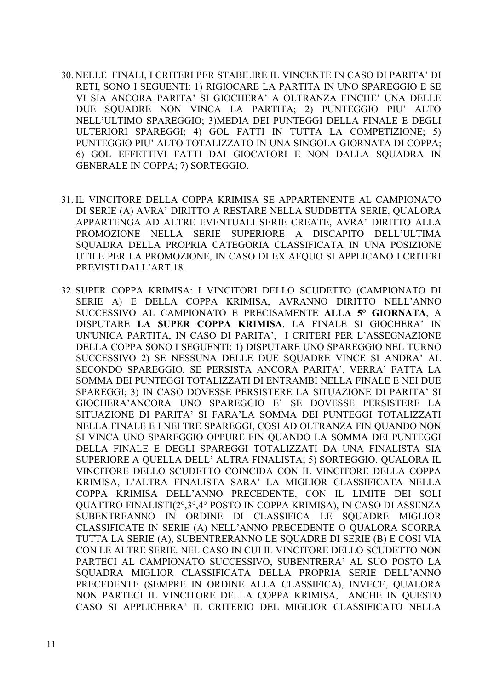- 30. NELLE FINALI, I CRITERI PER STABILIRE IL VINCENTE IN CASO DI PARITA' DI RETI, SONO I SEGUENTI: 1) RIGIOCARE LA PARTITA IN UNO SPAREGGIO E SE VI SIA ANCORA PARITA' SI GIOCHERA' A OLTRANZA FINCHE' UNA DELLE DUE SQUADRE NON VINCA LA PARTITA; 2) PUNTEGGIO PIU' ALTO NELL'ULTIMO SPAREGGIO; 3)MEDIA DEI PUNTEGGI DELLA FINALE E DEGLI ULTERIORI SPAREGGI; 4) GOL FATTI IN TUTTA LA COMPETIZIONE; 5) PUNTEGGIO PIU' ALTO TOTALIZZATO IN UNA SINGOLA GIORNATA DI COPPA; 6) GOL EFFETTIVI FATTI DAI GIOCATORI E NON DALLA SQUADRA IN GENERALE IN COPPA; 7) SORTEGGIO.
- 31. IL VINCITORE DELLA COPPA KRIMISA SE APPARTENENTE AL CAMPIONATO DI SERIE (A) AVRA' DIRITTO A RESTARE NELLA SUDDETTA SERIE, QUALORA APPARTENGA AD ALTRE EVENTUALI SERIE CREATE, AVRA' DIRITTO ALLA PROMOZIONE NELLA SERIE SUPERIORE A DISCAPITO DELL'ULTIMA SQUADRA DELLA PROPRIA CATEGORIA CLASSIFICATA IN UNA POSIZIONE UTILE PER LA PROMOZIONE, IN CASO DI EX AEQUO SI APPLICANO I CRITERI PREVISTI DALL'ART.18.
- 32. SUPER COPPA KRIMISA: I VINCITORI DELLO SCUDETTO (CAMPIONATO DI SERIE A) E DELLA COPPA KRIMISA, AVRANNO DIRITTO NELL'ANNO SUCCESSIVO AL CAMPIONATO E PRECISAMENTE **ALLA 5° GIORNATA**, A DISPUTARE **LA SUPER COPPA KRIMISA**. LA FINALE SI GIOCHERA' IN UN'UNICA PARTITA, IN CASO DI PARITA', I CRITERI PER L'ASSEGNAZIONE DELLA COPPA SONO I SEGUENTI: 1) DISPUTARE UNO SPAREGGIO NEL TURNO SUCCESSIVO 2) SE NESSUNA DELLE DUE SQUADRE VINCE SI ANDRA' AL SECONDO SPAREGGIO, SE PERSISTA ANCORA PARITA', VERRA' FATTA LA SOMMA DEI PUNTEGGI TOTALIZZATI DI ENTRAMBI NELLA FINALE E NEI DUE SPAREGGI; 3) IN CASO DOVESSE PERSISTERE LA SITUAZIONE DI PARITA' SI GIOCHERA'ANCORA UNO SPAREGGIO E' SE DOVESSE PERSISTERE LA SITUAZIONE DI PARITA' SI FARA'LA SOMMA DEI PUNTEGGI TOTALIZZATI NELLA FINALE E I NEI TRE SPAREGGI, COSI AD OLTRANZA FIN QUANDO NON SI VINCA UNO SPAREGGIO OPPURE FIN QUANDO LA SOMMA DEI PUNTEGGI DELLA FINALE E DEGLI SPAREGGI TOTALIZZATI DA UNA FINALISTA SIA SUPERIORE A QUELLA DELL' ALTRA FINALISTA; 5) SORTEGGIO. QUALORA IL VINCITORE DELLO SCUDETTO COINCIDA CON IL VINCITORE DELLA COPPA KRIMISA, L'ALTRA FINALISTA SARA' LA MIGLIOR CLASSIFICATA NELLA COPPA KRIMISA DELL'ANNO PRECEDENTE, CON IL LIMITE DEI SOLI QUATTRO FINALISTI(2°,3°,4° POSTO IN COPPA KRIMISA), IN CASO DI ASSENZA SUBENTREANNO IN ORDINE DI CLASSIFICA LE SQUADRE MIGLIOR CLASSIFICATE IN SERIE (A) NELL'ANNO PRECEDENTE O QUALORA SCORRA TUTTA LA SERIE (A), SUBENTRERANNO LE SQUADRE DI SERIE (B) E COSI VIA CON LE ALTRE SERIE. NEL CASO IN CUI IL VINCITORE DELLO SCUDETTO NON PARTECI AL CAMPIONATO SUCCESSIVO, SUBENTRERA' AL SUO POSTO LA SQUADRA MIGLIOR CLASSIFICATA DELLA PROPRIA SERIE DELL'ANNO PRECEDENTE (SEMPRE IN ORDINE ALLA CLASSIFICA), INVECE, QUALORA NON PARTECI IL VINCITORE DELLA COPPA KRIMISA, ANCHE IN QUESTO CASO SI APPLICHERA' IL CRITERIO DEL MIGLIOR CLASSIFICATO NELLA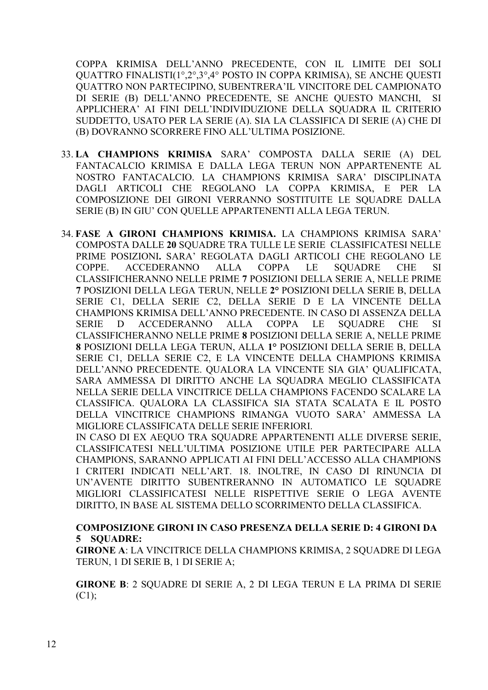COPPA KRIMISA DELL'ANNO PRECEDENTE, CON IL LIMITE DEI SOLI QUATTRO FINALISTI(1°,2°,3°,4° POSTO IN COPPA KRIMISA), SE ANCHE QUESTI QUATTRO NON PARTECIPINO, SUBENTRERA'IL VINCITORE DEL CAMPIONATO DI SERIE (B) DELL'ANNO PRECEDENTE, SE ANCHE QUESTO MANCHI, SI APPLICHERA' AI FINI DELL'INDIVIDUZIONE DELLA SQUADRA IL CRITERIO SUDDETTO, USATO PER LA SERIE (A). SIA LA CLASSIFICA DI SERIE (A) CHE DI (B) DOVRANNO SCORRERE FINO ALL'ULTIMA POSIZIONE.

- 33. **LA CHAMPIONS KRIMISA** SARA' COMPOSTA DALLA SERIE (A) DEL FANTACALCIO KRIMISA E DALLA LEGA TERUN NON APPARTENENTE AL NOSTRO FANTACALCIO. LA CHAMPIONS KRIMISA SARA' DISCIPLINATA DAGLI ARTICOLI CHE REGOLANO LA COPPA KRIMISA, E PER LA COMPOSIZIONE DEI GIRONI VERRANNO SOSTITUITE LE SOUADRE DALLA SERIE (B) IN GIU' CON QUELLE APPARTENENTI ALLA LEGA TERUN.
- 34. **FASE A GIRONI CHAMPIONS KRIMISA.** LA CHAMPIONS KRIMISA SARA' COMPOSTA DALLE **20** SQUADRE TRA TULLE LE SERIE CLASSIFICATESI NELLE PRIME POSIZIONI**.** SARA' REGOLATA DAGLI ARTICOLI CHE REGOLANO LE COPPE. ACCEDERANNO ALLA COPPA LE SQUADRE CHE SI CLASSIFICHERANNO NELLE PRIME **7** POSIZIONI DELLA SERIE A, NELLE PRIME **7** POSIZIONI DELLA LEGA TERUN, NELLE **2°** POSIZIONI DELLA SERIE B, DELLA SERIE C1, DELLA SERIE C2, DELLA SERIE D E LA VINCENTE DELLA CHAMPIONS KRIMISA DELL'ANNO PRECEDENTE. IN CASO DI ASSENZA DELLA SERIE D ACCEDERANNO ALLA COPPA LE SQUADRE CHE SI CLASSIFICHERANNO NELLE PRIME **8** POSIZIONI DELLA SERIE A, NELLE PRIME **8** POSIZIONI DELLA LEGA TERUN, ALLA **1°** POSIZIONI DELLA SERIE B, DELLA SERIE C1, DELLA SERIE C2, E LA VINCENTE DELLA CHAMPIONS KRIMISA DELL'ANNO PRECEDENTE. QUALORA LA VINCENTE SIA GIA' QUALIFICATA, SARA AMMESSA DI DIRITTO ANCHE LA SQUADRA MEGLIO CLASSIFICATA NELLA SERIE DELLA VINCITRICE DELLA CHAMPIONS FACENDO SCALARE LA CLASSIFICA. QUALORA LA CLASSIFICA SIA STATA SCALATA E IL POSTO DELLA VINCITRICE CHAMPIONS RIMANGA VUOTO SARA' AMMESSA LA MIGLIORE CLASSIFICATA DELLE SERIE INFERIORI.

IN CASO DI EX AEQUO TRA SQUADRE APPARTENENTI ALLE DIVERSE SERIE, CLASSIFICATESI NELL'ULTIMA POSIZIONE UTILE PER PARTECIPARE ALLA CHAMPIONS, SARANNO APPLICATI AI FINI DELL'ACCESSO ALLA CHAMPIONS I CRITERI INDICATI NELL'ART. 18. INOLTRE, IN CASO DI RINUNCIA DI UN'AVENTE DIRITTO SUBENTRERANNO IN AUTOMATICO LE SQUADRE MIGLIORI CLASSIFICATESI NELLE RISPETTIVE SERIE O LEGA AVENTE DIRITTO, IN BASE AL SISTEMA DELLO SCORRIMENTO DELLA CLASSIFICA.

### **COMPOSIZIONE GIRONI IN CASO PRESENZA DELLA SERIE D: 4 GIRONI DA 5 SQUADRE:**

**GIRONE A**: LA VINCITRICE DELLA CHAMPIONS KRIMISA, 2 SQUADRE DI LEGA TERUN, 1 DI SERIE B, 1 DI SERIE A;

**GIRONE B**: 2 SQUADRE DI SERIE A, 2 DI LEGA TERUN E LA PRIMA DI SERIE (C1);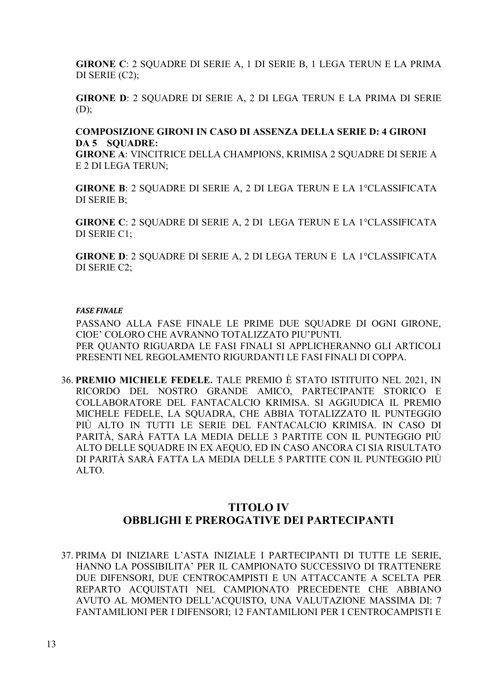**GIRONE C**: 2 SQUADRE DI SERIE A, 1 DI SERIE B, 1 LEGA TERUN E LA PRIMA DI SERIE (C2);

**GIRONE D**: 2 SQUADRE DI SERIE A, 2 DI LEGA TERUN E LA PRIMA DI SERIE  $(D)$ ;

#### **COMPOSIZIONE GIRONI IN CASO DI ASSENZA DELLA SERIE D: 4 GIRONI DA 5 SQUADRE:**

**GIRONE A**: VINCITRICE DELLA CHAMPIONS, KRIMISA 2 SQUADRE DI SERIE A E 2 DI LEGA TERUN;

**GIRONE B**: 2 SQUADRE DI SERIE A, 2 DI LEGA TERUN E LA 1°CLASSIFICATA DI SERIE B;

**GIRONE C**: 2 SQUADRE DI SERIE A, 2 DI LEGA TERUN E LA 1°CLASSIFICATA DI SERIE C1;

**GIRONE D**: 2 SQUADRE DI SERIE A, 2 DI LEGA TERUN E LA 1°CLASSIFICATA DI SERIE C2;

#### *FASE FINALE*

PASSANO ALLA FASE FINALE LE PRIME DUE SQUADRE DI OGNI GIRONE, CIOE' COLORO CHE AVRANNO TOTALIZZATO PIU'PUNTI. PER QUANTO RIGUARDA LE FASI FINALI SI APPLICHERANNO GLI ARTICOLI PRESENTI NEL REGOLAMENTO RIGURDANTI LE FASI FINALI DI COPPA.

36. **PREMIO MICHELE FEDELE.** TALE PREMIO È STATO ISTITUITO NEL 2021, IN RICORDO DEL NOSTRO GRANDE AMICO, PARTECIPANTE STORICO E COLLABORATORE DEL FANTACALCIO KRIMISA. SI AGGIUDICA IL PREMIO MICHELE FEDELE, LA SQUADRA, CHE ABBIA TOTALIZZATO IL PUNTEGGIO PIÙ ALTO IN TUTTI LE SERIE DEL FANTACALCIO KRIMISA. IN CASO DI PARITÀ, SARÀ FATTA LA MEDIA DELLE 3 PARTITE CON IL PUNTEGGIO PIÙ ALTO DELLE SQUADRE IN EX AEQUO, ED IN CASO ANCORA CI SIA RISULTATO DI PARITÀ SARÀ FATTA LA MEDIA DELLE 5 PARTITE CON IL PUNTEGGIO PIÙ ALTO.

### **TITOLO IV OBBLIGHI E PREROGATIVE DEI PARTECIPANTI**

37. PRIMA DI INIZIARE L'ASTA INIZIALE I PARTECIPANTI DI TUTTE LE SERIE, HANNO LA POSSIBILITA' PER IL CAMPIONATO SUCCESSIVO DI TRATTENERE DUE DIFENSORI, DUE CENTROCAMPISTI E UN ATTACCANTE A SCELTA PER REPARTO ACQUISTATI NEL CAMPIONATO PRECEDENTE CHE ABBIANO AVUTO AL MOMENTO DELL'ACQUISTO, UNA VALUTAZIONE MASSIMA DI: 7 FANTAMILIONI PER I DIFENSORI; 12 FANTAMILIONI PER I CENTROCAMPISTI E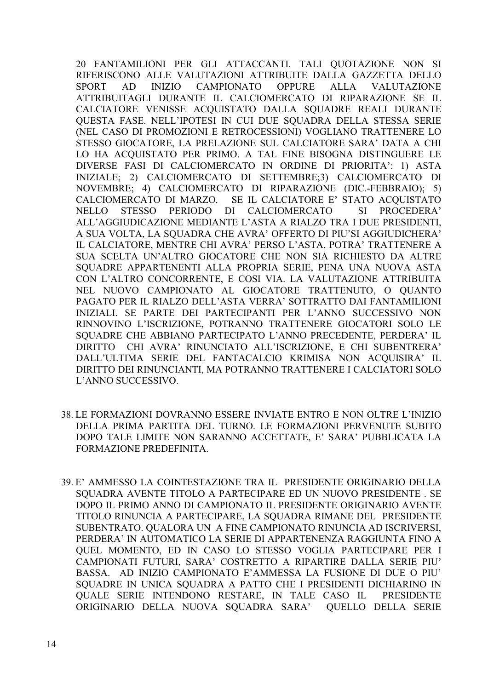20 FANTAMILIONI PER GLI ATTACCANTI. TALI QUOTAZIONE NON SI RIFERISCONO ALLE VALUTAZIONI ATTRIBUITE DALLA GAZZETTA DELLO **SPORT**  $AD$ **INIZIO CAMPIONATO OPPURE ALLA VALUTAZIONE** ATTRIBUITAGLI DURANTE IL CALCIOMERCATO DI RIPARAZIONE SE IL CALCIATORE VENISSE ACQUISTATO DALLA SQUADRE REALI DURANTE QUESTA FASE. NELL'IPOTESI IN CUI DUE SQUADRA DELLA STESSA SERIE (NEL CASO DI PROMOZIONI E RETROCESSIONI) VOGLIANO TRATTENERE LO STESSO GIOCATORE, LA PRELAZIONE SUL CALCIATORE SARA' DATA A CHI LO HA ACOUISTATO PER PRIMO. A TAL FINE BISOGNA DISTINGUERE LE DIVERSE FASI DI CALCIOMERCATO IN ORDINE DI PRIORITA': 1) ASTA INIZIALE; 2) CALCIOMERCATO DI SETTEMBRE;3) CALCIOMERCATO DI NOVEMBRE; 4) CALCIOMERCATO DI RIPARAZIONE (DIC.-FEBBRAIO); 5) CALCIOMERCATO DI MARZO. SE IL CALCIATORE E' STATO ACOUISTATO **STESSO** PERIODO  $DI$ **CALCIOMERCATO SI** PROCEDERA' **NELLO** ALL'AGGIUDICAZIONE MEDIANTE L'ASTA A RIALZO TRA I DUE PRESIDENTI, A SUA VOLTA, LA SQUADRA CHE AVRA' OFFERTO DI PIU'SI AGGIUDICHERA' IL CALCIATORE, MENTRE CHI AVRA' PERSO L'ASTA, POTRA' TRATTENERE A SUA SCELTA UN'ALTRO GIOCATORE CHE NON SIA RICHIESTO DA ALTRE SQUADRE APPARTENENTI ALLA PROPRIA SERIE, PENA UNA NUOVA ASTA CON L'ALTRO CONCORRENTE, E COSI VIA. LA VALUTAZIONE ATTRIBUITA NEL NUOVO CAMPIONATO AL GIOCATORE TRATTENUTO, O QUANTO PAGATO PER IL RIALZO DELL'ASTA VERRA' SOTTRATTO DAI FANTAMILIONI INIZIALI. SE PARTE DEI PARTECIPANTI PER L'ANNO SUCCESSIVO NON RINNOVINO L'ISCRIZIONE, POTRANNO TRATTENERE GIOCATORI SOLO LE SOUADRE CHE ABBIANO PARTECIPATO L'ANNO PRECEDENTE, PERDERA' IL DIRITTO CHI AVRA' RINUNCIATO ALL'ISCRIZIONE, E CHI SUBENTRERA' DALL'ULTIMA SERIE DEL FANTACALCIO KRIMISA NON ACQUISIRA' IL DIRITTO DEI RINUNCIANTI, MA POTRANNO TRATTENERE I CALCIATORI SOLO L'ANNO SUCCESSIVO.

- 38. LE FORMAZIONI DOVRANNO ESSERE INVIATE ENTRO E NON OLTRE L'INIZIO DELLA PRIMA PARTITA DEL TURNO. LE FORMAZIONI PERVENUTE SUBITO DOPO TALE LIMITE NON SARANNO ACCETTATE, E' SARA' PUBBLICATA LA FORMAZIONE PREDEFINITA.
- 39. E' AMMESSO LA COINTESTAZIONE TRA IL PRESIDENTE ORIGINARIO DELLA SOUADRA AVENTE TITOLO A PARTECIPARE ED UN NUOVO PRESIDENTE. SE DOPO IL PRIMO ANNO DI CAMPIONATO IL PRESIDENTE ORIGINARIO AVENTE TITOLO RINUNCIA A PARTECIPARE, LA SQUADRA RIMANE DEL PRESIDENTE SUBENTRATO. QUALORA UN A FINE CAMPIONATO RINUNCIA AD ISCRIVERSI, PERDERA' IN AUTOMATICO LA SERIE DI APPARTENENZA RAGGIUNTA FINO A QUEL MOMENTO, ED IN CASO LO STESSO VOGLIA PARTECIPARE PER I CAMPIONATI FUTURI, SARA' COSTRETTO A RIPARTIRE DALLA SERIE PIU' BASSA. AD INIZIO CAMPIONATO E'AMMESSA LA FUSIONE DI DUE O PIU' SOUADRE IN UNICA SOUADRA A PATTO CHE I PRESIDENTI DICHIARINO IN QUALE SERIE INTENDONO RESTARE, IN TALE CASO IL **PRESIDENTE** ORIGINARIO DELLA NUOVA SOUADRA SARA' QUELLO DELLA SERIE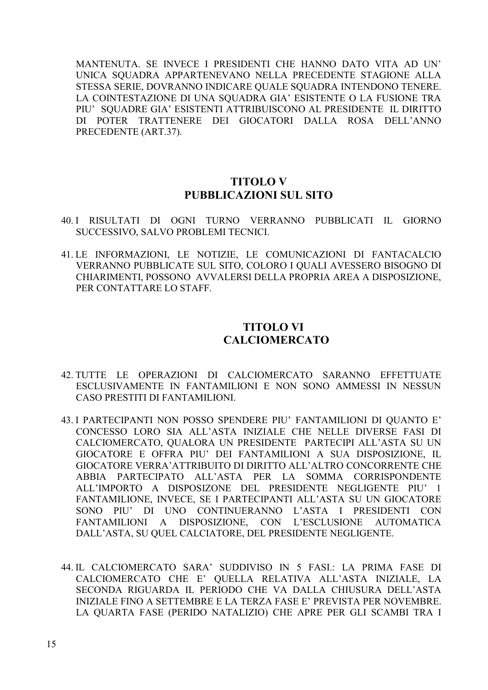MANTENUTA. SE INVECE I PRESIDENTI CHE HANNO DATO VITA AD UN' UNICA SQUADRA APPARTENEVANO NELLA PRECEDENTE STAGIONE ALLA STESSA SERIE, DOVRANNO INDICARE QUALE SQUADRA INTENDONO TENERE. LA COINTESTAZIONE DI UNA SQUADRA GIA' ESISTENTE O LA FUSIONE TRA PIU' SQUADRE GIA' ESISTENTI ATTRIBUISCONO AL PRESIDENTE IL DIRITTO DI POTER TRATTENERE DEI GIOCATORI DALLA ROSA DELL'ANNO PRECEDENTE (ART.37).

### **TITOLO V PUBBLICAZIONI SUL SITO**

- 40. I RISULTATI DI OGNI TURNO VERRANNO PUBBLICATI IL GIORNO SUCCESSIVO, SALVO PROBLEMI TECNICI.
- 41. LE INFORMAZIONI, LE NOTIZIE, LE COMUNICAZIONI DI FANTACALCIO VERRANNO PUBBLICATE SUL SITO, COLORO I QUALI AVESSERO BISOGNO DI CHIARIMENTI, POSSONO AVVALERSI DELLA PROPRIA AREA A DISPOSIZIONE, PER CONTATTARE LO STAFF.

### **TITOLO VI CALCIOMERCATO**

- 42. TUTTE LE OPERAZIONI DI CALCIOMERCATO SARANNO EFFETTUATE ESCLUSIVAMENTE IN FANTAMILIONI E NON SONO AMMESSI IN NESSUN CASO PRESTITI DI FANTAMILIONI.
- 43. I PARTECIPANTI NON POSSO SPENDERE PIU' FANTAMILIONI DI QUANTO E' CONCESSO LORO SIA ALL'ASTA INIZIALE CHE NELLE DIVERSE FASI DI CALCIOMERCATO, QUALORA UN PRESIDENTE PARTECIPI ALL'ASTA SU UN GIOCATORE E OFFRA PIU' DEI FANTAMILIONI A SUA DISPOSIZIONE, IL GIOCATORE VERRA'ATTRIBUITO DI DIRITTO ALL'ALTRO CONCORRENTE CHE ABBIA PARTECIPATO ALL'ASTA PER LA SOMMA CORRISPONDENTE ALL'IMPORTO A DISPOSIZONE DEL PRESIDENTE NEGLIGENTE PIU' 1 FANTAMILIONE, INVECE, SE I PARTECIPANTI ALL'ASTA SU UN GIOCATORE SONO PIU' DI UNO CONTINUERANNO L'ASTA I PRESIDENTI CON FANTAMILIONI A DISPOSIZIONE, CON L'ESCLUSIONE AUTOMATICA DALL'ASTA, SU QUEL CALCIATORE, DEL PRESIDENTE NEGLIGENTE.
- 44. IL CALCIOMERCATO SARA' SUDDIVISO IN 5 FASI.: LA PRIMA FASE DI CALCIOMERCATO CHE E' QUELLA RELATIVA ALL'ASTA INIZIALE, LA SECONDA RIGUARDA IL PERIODO CHE VA DALLA CHIUSURA DELL'ASTA INIZIALE FINO A SETTEMBRE E LA TERZA FASE E' PREVISTA PER NOVEMBRE. LA QUARTA FASE (PERIDO NATALIZIO) CHE APRE PER GLI SCAMBI TRA I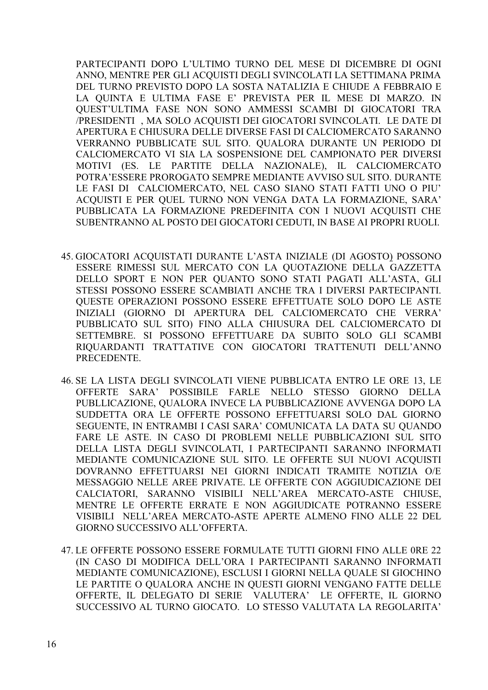PARTECIPANTI DOPO L'ULTIMO TURNO DEL MESE DI DICEMBRE DI OGNI ANNO, MENTRE PER GLI ACQUISTI DEGLI SVINCOLATI LA SETTIMANA PRIMA DEL TURNO PREVISTO DOPO LA SOSTA NATALIZIA E CHIUDE A FEBBRAIO E LA QUINTA E ULTIMA FASE E' PREVISTA PER IL MESE DI MARZO. IN QUEST'ULTIMA FASE NON SONO AMMESSI SCAMBI DI GIOCATORI TRA /PRESIDENTI , MA SOLO ACQUISTI DEI GIOCATORI SVINCOLATI. LE DATE DI APERTURA E CHIUSURA DELLE DIVERSE FASI DI CALCIOMERCATO SARANNO VERRANNO PUBBLICATE SUL SITO. QUALORA DURANTE UN PERIODO DI CALCIOMERCATO VI SIA LA SOSPENSIONE DEL CAMPIONATO PER DIVERSI MOTIVI (ES. LE PARTITE DELLA NAZIONALE), IL CALCIOMERCATO POTRA'ESSERE PROROGATO SEMPRE MEDIANTE AVVISO SUL SITO. DURANTE LE FASI DI CALCIOMERCATO, NEL CASO SIANO STATI FATTI UNO O PIU' ACQUISTI E PER QUEL TURNO NON VENGA DATA LA FORMAZIONE, SARA' PUBBLICATA LA FORMAZIONE PREDEFINITA CON I NUOVI ACQUISTI CHE SUBENTRANNO AL POSTO DEI GIOCATORI CEDUTI, IN BASE AI PROPRI RUOLI.

- 45. GIOCATORI ACQUISTATI DURANTE L'ASTA INIZIALE (DI AGOSTO) POSSONO ESSERE RIMESSI SUL MERCATO CON LA QUOTAZIONE DELLA GAZZETTA DELLO SPORT E NON PER QUANTO SONO STATI PAGATI ALL'ASTA, GLI STESSI POSSONO ESSERE SCAMBIATI ANCHE TRA I DIVERSI PARTECIPANTI. QUESTE OPERAZIONI POSSONO ESSERE EFFETTUATE SOLO DOPO LE ASTE INIZIALI (GIORNO DI APERTURA DEL CALCIOMERCATO CHE VERRA' PUBBLICATO SUL SITO) FINO ALLA CHIUSURA DEL CALCIOMERCATO DI SETTEMBRE. SI POSSONO EFFETTUARE DA SUBITO SOLO GLI SCAMBI RIQUARDANTI TRATTATIVE CON GIOCATORI TRATTENUTI DELL'ANNO PRECEDENTE.
- 46. SE LA LISTA DEGLI SVINCOLATI VIENE PUBBLICATA ENTRO LE ORE 13, LE OFFERTE SARA' POSSIBILE FARLE NELLO STESSO GIORNO DELLA PUBLLICAZIONE, QUALORA INVECE LA PUBBLICAZIONE AVVENGA DOPO LA SUDDETTA ORA LE OFFERTE POSSONO EFFETTUARSI SOLO DAL GIORNO SEGUENTE, IN ENTRAMBI I CASI SARA' COMUNICATA LA DATA SU QUANDO FARE LE ASTE. IN CASO DI PROBLEMI NELLE PUBBLICAZIONI SUL SITO DELLA LISTA DEGLI SVINCOLATI, I PARTECIPANTI SARANNO INFORMATI MEDIANTE COMUNICAZIONE SUL SITO. LE OFFERTE SUI NUOVI ACQUISTI DOVRANNO EFFETTUARSI NEI GIORNI INDICATI TRAMITE NOTIZIA O/E MESSAGGIO NELLE AREE PRIVATE. LE OFFERTE CON AGGIUDICAZIONE DEI CALCIATORI, SARANNO VISIBILI NELL'AREA MERCATO-ASTE CHIUSE, MENTRE LE OFFERTE ERRATE E NON AGGIUDICATE POTRANNO ESSERE VISIBILI NELL'AREA MERCATO-ASTE APERTE ALMENO FINO ALLE 22 DEL GIORNO SUCCESSIVO ALL'OFFERTA.
- 47. LE OFFERTE POSSONO ESSERE FORMULATE TUTTI GIORNI FINO ALLE 0RE 22 (IN CASO DI MODIFICA DELL'ORA I PARTECIPANTI SARANNO INFORMATI MEDIANTE COMUNICAZIONE), ESCLUSI I GIORNI NELLA QUALE SI GIOCHINO LE PARTITE O QUALORA ANCHE IN QUESTI GIORNI VENGANO FATTE DELLE OFFERTE, IL DELEGATO DI SERIE VALUTERA' LE OFFERTE, IL GIORNO SUCCESSIVO AL TURNO GIOCATO. LO STESSO VALUTATA LA REGOLARITA'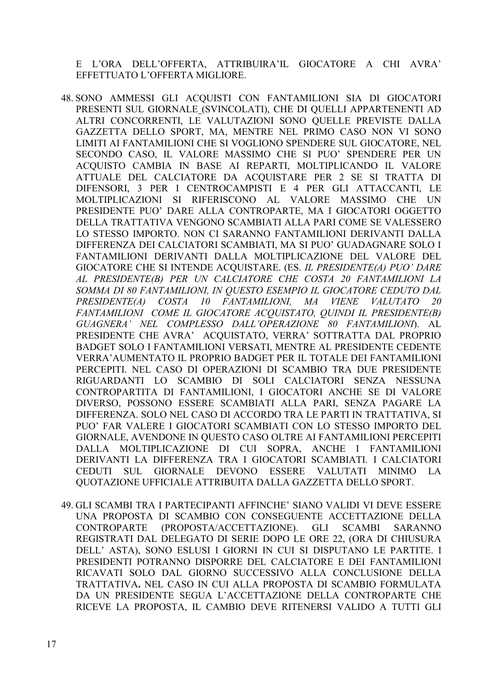E L'ORA DELL'OFFERTA, ATTRIBUIRA'IL GIOCATORE A CHI AVRA' EFFETTUATO L'OFFERTA MIGLIORE.

- 48. SONO AMMESSI GLI ACQUISTI CON FANTAMILIONI SIA DI GIOCATORI PRESENTI SUL GIORNALE (SVINCOLATI), CHE DI QUELLI APPARTENENTI AD ALTRI CONCORRENTI, LE VALUTAZIONI SONO QUELLE PREVISTE DALLA GAZZETTA DELLO SPORT, MA, MENTRE NEL PRIMO CASO NON VI SONO LIMITI AI FANTAMILIONI CHE SI VOGLIONO SPENDERE SUL GIOCATORE, NEL SECONDO CASO, IL VALORE MASSIMO CHE SI PUO' SPENDERE PER UN ACQUISTO CAMBIA IN BASE AI REPARTI, MOLTIPLICANDO IL VALORE ATTUALE DEL CALCIATORE DA ACQUISTARE PER 2 SE SI TRATTA DI DIFENSORI, 3 PER I CENTROCAMPISTI E 4 PER GLI ATTACCANTI, LE MOLTIPLICAZIONI SI RIFERISCONO AL VALORE MASSIMO CHE UN PRESIDENTE PUO' DARE ALLA CONTROPARTE, MA I GIOCATORI OGGETTO DELLA TRATTATIVA VENGONO SCAMBIATI ALLA PARI COME SE VALESSERO LO STESSO IMPORTO. NON CI SARANNO FANTAMILIONI DERIVANTI DALLA DIFFERENZA DEI CALCIATORI SCAMBIATI, MA SI PUO' GUADAGNARE SOLO I FANTAMILIONI DERIVANTI DALLA MOLTIPLICAZIONE DEL VALORE DEL GIOCATORE CHE SI INTENDE ACQUISTARE. (ES. IL PRESIDENTE(A) PUO' DARE AL PRESIDENTE(B) PER UN CALCIATORE CHE COSTA 20 FANTAMILIONI LA SOMMA DI 80 FANTAMILIONI, IN OUESTO ESEMPIO IL GIOCATORE CEDUTO DAL PRESIDENTE(A) COSTA *10 FANTAMILIONI*,  $MA$ **VIENE** *VALUTATO*  $20$ FANTAMILIONI COME IL GIOCATORE ACQUISTATO, QUINDI IL PRESIDENTE(B) GUAGNERA' NEL COMPLESSO DALL'OPERAZIONE 80 FANTAMILIONI\. AL PRESIDENTE CHE AVRA' ACOUISTATO, VERRA' SOTTRATTA DAL PROPRIO BADGET SOLO I FANTAMILIONI VERSATI, MENTRE AL PRESIDENTE CEDENTE VERRA' AUMENTATO IL PROPRIO BADGET PER IL TOTALE DEI FANTAMILIONI PERCEPITI. NEL CASO DI OPERAZIONI DI SCAMBIO TRA DUE PRESIDENTE RIGUARDANTI LO SCAMBIO DI SOLI CALCIATORI SENZA NESSUNA CONTROPARTITA DI FANTAMILIONI, I GIOCATORI ANCHE SE DI VALORE DIVERSO, POSSONO ESSERE SCAMBIATI ALLA PARI, SENZA PAGARE LA DIFFERENZA. SOLO NEL CASO DI ACCORDO TRA LE PARTI IN TRATTATIVA, SI PUO' FAR VALERE I GIOCATORI SCAMBIATI CON LO STESSO IMPORTO DEL GIORNALE, AVENDONE IN QUESTO CASO OLTRE AI FANTAMILIONI PERCEPITI DALLA MOLTIPLICAZIONE DI CUI SOPRA, ANCHE I FANTAMILIONI DERIVANTI LA DIFFERENZA TRA I GIOCATORI SCAMBIATI. I CALCIATORI CEDUTI SUL GIORNALE DEVONO ESSERE VALUTATI MINIMO LA OUOTAZIONE UFFICIALE ATTRIBUITA DALLA GAZZETTA DELLO SPORT.
- 49. GLI SCAMBI TRA I PARTECIPANTI AFFINCHE' SIANO VALIDI VI DEVE ESSERE UNA PROPOSTA DI SCAMBIO CON CONSEGUENTE ACCETTAZIONE DELLA **CONTROPARTE** (PROPOSTA/ACCETTAZIONE). GLI **SCAMBI SARANNO** REGISTRATI DAL DELEGATO DI SERIE DOPO LE ORE 22, (ORA DI CHIUSURA DELL' ASTA), SONO ESLUSI I GIORNI IN CUI SI DISPUTANO LE PARTITE. I PRESIDENTI POTRANNO DISPORRE DEL CALCIATORE E DEI FANTAMILIONI RICAVATI SOLO DAL GIORNO SUCCESSIVO ALLA CONCLUSIONE DELLA TRATTATIVA. NEL CASO IN CUI ALLA PROPOSTA DI SCAMBIO FORMULATA DA UN PRESIDENTE SEGUA L'ACCETTAZIONE DELLA CONTROPARTE CHE RICEVE LA PROPOSTA, IL CAMBIO DEVE RITENERSI VALIDO A TUTTI GLI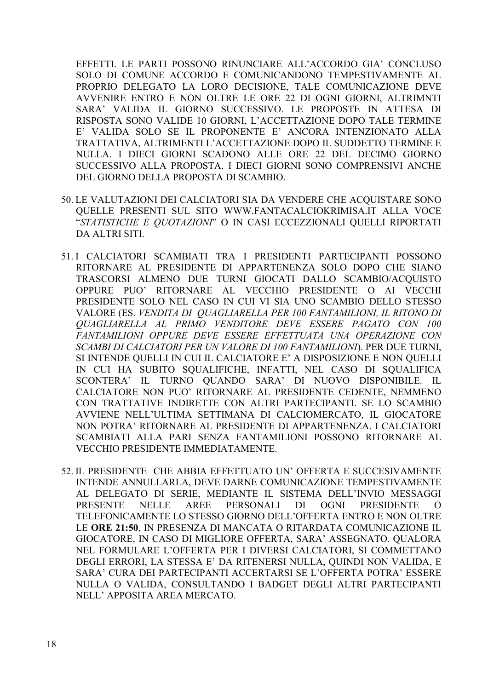EFFETTI. LE PARTI POSSONO RINUNCIARE ALL'ACCORDO GIA' CONCLUSO SOLO DI COMUNE ACCORDO E COMUNICANDONO TEMPESTIVAMENTE AL PROPRIO DELEGATO LA LORO DECISIONE, TALE COMUNICAZIONE DEVE AVVENIRE ENTRO E NON OLTRE LE ORE 22 DI OGNI GIORNI, ALTRIMNTI SARA' VALIDA IL GIORNO SUCCESSIVO. LE PROPOSTE IN ATTESA DI RISPOSTA SONO VALIDE 10 GIORNI, L'ACCETTAZIONE DOPO TALE TERMINE E' VALIDA SOLO SE IL PROPONENTE E' ANCORA INTENZIONATO ALLA TRATTATIVA, ALTRIMENTI L'ACCETTAZIONE DOPO IL SUDDETTO TERMINE E NULLA. I DIECI GIORNI SCADONO ALLE ORE 22 DEL DECIMO GIORNO SUCCESSIVO ALLA PROPOSTA, I DIECI GIORNI SONO COMPRENSIVI ANCHE DEL GIORNO DELLA PROPOSTA DI SCAMBIO.

- 50. LE VALUTAZIONI DEI CALCIATORI SIA DA VENDERE CHE ACOUISTARE SONO OUELLE PRESENTI SUL SITO WWW.FANTACALCIOKRIMISA.IT ALLA VOCE "STATISTICHE E OUOTAZIONI" O IN CASI ECCEZZIONALI OUELLI RIPORTATI DA ALTRI SITI.
- 51.I CALCIATORI SCAMBIATI TRA I PRESIDENTI PARTECIPANTI POSSONO RITORNARE AL PRESIDENTE DI APPARTENENZA SOLO DOPO CHE SIANO TRASCORSI ALMENO DUE TURNI GIOCATI DALLO SCAMBIO/ACQUISTO OPPURE PUO' RITORNARE AL VECCHIO PRESIDENTE O AI VECCHI PRESIDENTE SOLO NEL CASO IN CUI VI SIA UNO SCAMBIO DELLO STESSO VALORE (ES. VENDITA DI OUAGLIARELLA PER 100 FANTAMILIONI, IL RITONO DI OUAGLIARELLA AL PRIMO VENDITORE DEVE ESSERE PAGATO CON 100 FANTAMILIONI OPPURE DEVE ESSERE EFFETTUATA UNA OPERAZIONE CON SCAMBI DI CALCIATORI PER UN VALORE DI 100 FANTAMILIONI). PER DUE TURNI, SI INTENDE QUELLI IN CUI IL CALCIATORE E' A DISPOSIZIONE E NON QUELLI IN CUI HA SUBITO SQUALIFICHE, INFATTI, NEL CASO DI SQUALIFICA SCONTERA' IL TURNO QUANDO SARA' DI NUOVO DISPONIBILE. IL CALCIATORE NON PUO' RITORNARE AL PRESIDENTE CEDENTE, NEMMENO CON TRATTATIVE INDIRETTE CON ALTRI PARTECIPANTI. SE LO SCAMBIO AVVIENE NELL'ULTIMA SETTIMANA DI CALCIOMERCATO, IL GIOCATORE NON POTRA' RITORNARE AL PRESIDENTE DI APPARTENENZA. I CALCIATORI SCAMBIATI ALLA PARI SENZA FANTAMILIONI POSSONO RITORNARE AL **VECCHIO PRESIDENTE IMMEDIATAMENTE.**
- 52. IL PRESIDENTE CHE ABBIA EFFETTUATO UN' OFFERTA E SUCCESIVAMENTE INTENDE ANNULLARLA, DEVE DARNE COMUNICAZIONE TEMPESTIVAMENTE AL DELEGATO DI SERIE, MEDIANTE IL SISTEMA DELL'INVIO MESSAGGI **NELLE PRESENTE AREE PERSONALI**  $DI$ **OGNI PRESIDENTE**  $\Omega$ TELEFONICAMENTE LO STESSO GIORNO DELL'OFFERTA ENTRO E NON OLTRE LE ORE 21:50, IN PRESENZA DI MANCATA O RITARDATA COMUNICAZIONE IL GIOCATORE, IN CASO DI MIGLIORE OFFERTA, SARA' ASSEGNATO. QUALORA NEL FORMULARE L'OFFERTA PER I DIVERSI CALCIATORI, SI COMMETTANO DEGLI ERRORI, LA STESSA E' DA RITENERSI NULLA, OUINDI NON VALIDA, E SARA' CURA DEI PARTECIPANTI ACCERTARSI SE L'OFFERTA POTRA' ESSERE NULLA O VALIDA, CONSULTANDO I BADGET DEGLI ALTRI PARTECIPANTI NELL' APPOSITA AREA MERCATO.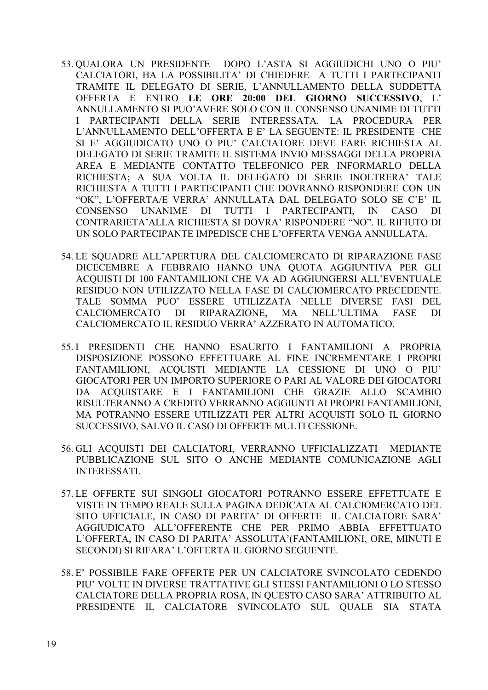- 53. QUALORA UN PRESIDENTE DOPO L'ASTA SI AGGIUDICHI UNO O PIU' CALCIATORI, HA LA POSSIBILITA' DI CHIEDERE A TUTTI I PARTECIPANTI TRAMITE IL DELEGATO DI SERIE, L'ANNULLAMENTO DELLA SUDDETTA OFFERTA E ENTRO LE ORE 20:00 DEL GIORNO SUCCESSIVO, L' ANNULLAMENTO SI PUO'AVERE SOLO CON IL CONSENSO UNANIME DI TUTTI I PARTECIPANTI DELLA SERIE INTERESSATA. LA PROCEDURA PER L'ANNULLAMENTO DELL'OFFERTA E E' LA SEGUENTE: IL PRESIDENTE CHE SI E' AGGIUDICATO UNO O PIU' CALCIATORE DEVE FARE RICHIESTA AL DELEGATO DI SERIE TRAMITE IL SISTEMA INVIO MESSAGGI DELLA PROPRIA AREA E MEDIANTE CONTATTO TELEFONICO PER INFORMARLO DELLA RICHIESTA: A SUA VOLTA IL DELEGATO DI SERIE INOLTRERA' TALE RICHIESTA A TUTTI I PARTECIPANTI CHE DOVRANNO RISPONDERE CON UN "OK", L'OFFERTA/E VERRA' ANNULLATA DAL DELEGATO SOLO SE C'E' IL CONSENSO **UNANIME** DI TUTTI I PARTECIPANTI,  $\overline{N}$ CASO DI CONTRARIETA' ALLA RICHIESTA SI DOVRA' RISPONDERE "NO". IL RIFIUTO DI UN SOLO PARTECIPANTE IMPEDISCE CHE L'OFFERTA VENGA ANNULLATA.
- 54. LE SOUADRE ALL'APERTURA DEL CALCIOMERCATO DI RIPARAZIONE FASE DICECEMBRE A FEBBRAIO HANNO UNA QUOTA AGGIUNTIVA PER GLI ACQUISTI DI 100 FANTAMILIONI CHE VA AD AGGIUNGERSI ALL'EVENTUALE RESIDUO NON UTILIZZATO NELLA FASE DI CALCIOMERCATO PRECEDENTE. TALE SOMMA PUO' ESSERE UTILIZZATA NELLE DIVERSE FASI DEL RIPARAZIONE. CALCIOMERCATO DI. **MA** NELL'ULTIMA **FASE**  $DI$ CALCIOMERCATO IL RESIDUO VERRA' AZZERATO IN AUTOMATICO.
- 55.1 PRESIDENTI CHE HANNO ESAURITO I FANTAMILIONI A PROPRIA DISPOSIZIONE POSSONO EFFETTUARE AL FINE INCREMENTARE I PROPRI FANTAMILIONI, ACQUISTI MEDIANTE LA CESSIONE DI UNO O PIU' GIOCATORI PER UN IMPORTO SUPERIORE O PARI AL VALORE DEI GIOCATORI DA ACOUISTARE E I FANTAMILIONI CHE GRAZIE ALLO SCAMBIO RISULTERANNO A CREDITO VERRANNO AGGIUNTI AI PROPRI FANTAMILIONI, MA POTRANNO ESSERE UTILIZZATI PER ALTRI ACQUISTI SOLO IL GIORNO SUCCESSIVO, SALVO IL CASO DI OFFERTE MULTI CESSIONE.
- 56. GLI ACOUISTI DEI CALCIATORI, VERRANNO UFFICIALIZZATI MEDIANTE PUBBLICAZIONE SUL SITO O ANCHE MEDIANTE COMUNICAZIONE AGLI **INTERESSATI.**
- 57. LE OFFERTE SUI SINGOLI GIOCATORI POTRANNO ESSERE EFFETTUATE E VISTE IN TEMPO REALE SULLA PAGINA DEDICATA AL CALCIOMERCATO DEL SITO UFFICIALE, IN CASO DI PARITA' DI OFFERTE IL CALCIATORE SARA' AGGIUDICATO ALL'OFFERENTE CHE PER PRIMO ABBIA EFFETTUATO L'OFFERTA, IN CASO DI PARITA' ASSOLUTA' (FANTAMILIONI, ORE, MINUTI E SECONDI) SI RIFARA' L'OFFERTA IL GIORNO SEGUENTE.
- 58. E' POSSIBILE FARE OFFERTE PER UN CALCIATORE SVINCOLATO CEDENDO PIU' VOLTE IN DIVERSE TRATTATIVE GLI STESSI FANTAMILIONI O LO STESSO CALCIATORE DELLA PROPRIA ROSA, IN QUESTO CASO SARA' ATTRIBUITO AL PRESIDENTE IL CALCIATORE SVINCOLATO SUL QUALE SIA STATA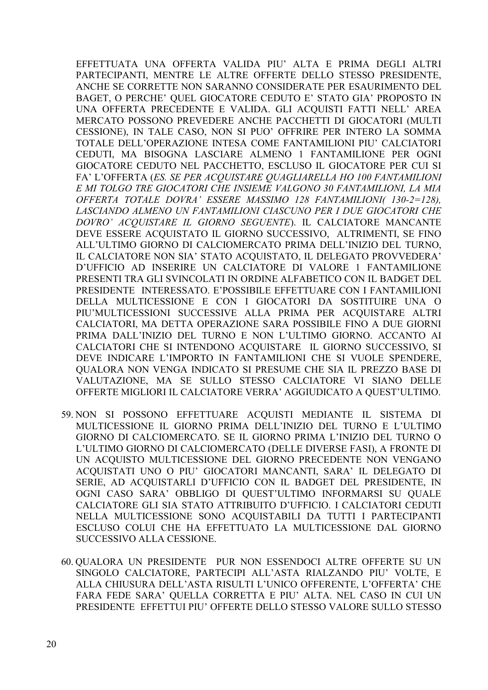EFFETTUATA UNA OFFERTA VALIDA PIU' ALTA E PRIMA DEGLI ALTRI PARTECIPANTI, MENTRE LE ALTRE OFFERTE DELLO STESSO PRESIDENTE, ANCHE SE CORRETTE NON SARANNO CONSIDERATE PER ESAURIMENTO DEL BAGET, O PERCHE' QUEL GIOCATORE CEDUTO E' STATO GIA' PROPOSTO IN UNA OFFERTA PRECEDENTE E VALIDA. GLI ACOUISTI FATTI NELL' AREA MERCATO POSSONO PREVEDERE ANCHE PACCHETTI DI GIOCATORI (MULTI CESSIONE), IN TALE CASO, NON SI PUO' OFFRIRE PER INTERO LA SOMMA TOTALE DELL'OPERAZIONE INTESA COME FANTAMILIONI PIU' CALCIATORI CEDUTI, MA BISOGNA LASCIARE ALMENO 1 FANTAMILIONE PER OGNI GIOCATORE CEDUTO NEL PACCHETTO, ESCLUSO IL GIOCATORE PER CUI SI FA' L'OFFERTA (ES. SE PER ACQUISTARE QUAGLIARELLA HO 100 FANTAMILIONI E MI TOLGO TRE GIOCATORI CHE INSIEME VALGONO 30 FANTAMILIONI, LA MIA OFFERTA TOTALE DOVRA' ESSERE MASSIMO 128 FANTAMILIONI(130-2=128). LASCIANDO ALMENO UN FANTAMILIONI CIASCUNO PER I DUE GIOCATORI CHE DOVRO' ACOUISTARE IL GIORNO SEGUENTE). IL CALCIATORE MANCANTE DEVE ESSERE ACQUISTATO IL GIORNO SUCCESSIVO, ALTRIMENTI, SE FINO ALL'ULTIMO GIORNO DI CALCIOMERCATO PRIMA DELL'INIZIO DEL TURNO, IL CALCIATORE NON SIA' STATO ACOUISTATO, IL DELEGATO PROVVEDERA' D'UFFICIO AD INSERIRE UN CALCIATORE DI VALORE 1 FANTAMILIONE PRESENTI TRA GLI SVINCOLATI IN ORDINE ALFABETICO CON IL BADGET DEL PRESIDENTE INTERESSATO. E'POSSIBILE EFFETTUARE CON I FANTAMILIONI DELLA MULTICESSIONE E CON I GIOCATORI DA SOSTITUIRE UNA O PIU'MULTICESSIONI SUCCESSIVE ALLA PRIMA PER ACQUISTARE ALTRI CALCIATORI, MA DETTA OPERAZIONE SARA POSSIBILE FINO A DUE GIORNI PRIMA DALL'INIZIO DEL TURNO E NON L'ULTIMO GIORNO. ACCANTO AI CALCIATORI CHE SI INTENDONO ACOUISTARE IL GIORNO SUCCESSIVO, SI DEVE INDICARE L'IMPORTO IN FANTAMILIONI CHE SI VUOLE SPENDERE, QUALORA NON VENGA INDICATO SI PRESUME CHE SIA IL PREZZO BASE DI VALUTAZIONE, MA SE SULLO STESSO CALCIATORE VI SIANO DELLE OFFERTE MIGLIORI IL CALCIATORE VERRA' AGGIUDICATO A OUEST'ULTIMO.

- 59. NON SI POSSONO EFFETTUARE ACQUISTI MEDIANTE IL SISTEMA DI MULTICESSIONE IL GIORNO PRIMA DELL'INIZIO DEL TURNO E L'ULTIMO GIORNO DI CALCIOMERCATO. SE IL GIORNO PRIMA L'INIZIO DEL TURNO O L'ULTIMO GIORNO DI CALCIOMERCATO (DELLE DIVERSE FASI), A FRONTE DI UN ACQUISTO MULTICESSIONE DEL GIORNO PRECEDENTE NON VENGANO ACOUISTATI UNO O PIU' GIOCATORI MANCANTI, SARA' IL DELEGATO DI SERIE, AD ACOUISTARLI D'UFFICIO CON IL BADGET DEL PRESIDENTE. IN OGNI CASO SARA' OBBLIGO DI QUEST'ULTIMO INFORMARSI SU QUALE CALCIATORE GLI SIA STATO ATTRIBUITO D'UFFICIO. I CALCIATORI CEDUTI NELLA MULTICESSIONE SONO ACOUISTABILI DA TUTTI I PARTECIPANTI ESCLUSO COLUI CHE HA EFFETTUATO LA MULTICESSIONE DAL GIORNO SUCCESSIVO ALLA CESSIONE.
- 60. OUALORA UN PRESIDENTE PUR NON ESSENDOCI ALTRE OFFERTE SU UN SINGOLO CALCIATORE, PARTECIPI ALL'ASTA RIALZANDO PIU' VOLTE. E ALLA CHIUSURA DELL'ASTA RISULTI L'UNICO OFFERENTE, L'OFFERTA' CHE FARA FEDE SARA' QUELLA CORRETTA E PIU' ALTA. NEL CASO IN CUI UN PRESIDENTE EFFETTUI PIU' OFFERTE DELLO STESSO VALORE SULLO STESSO